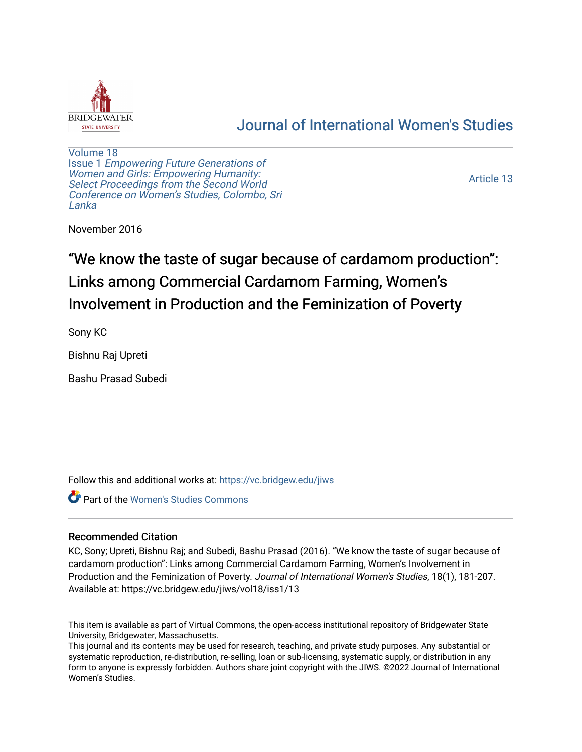

## [Journal of International Women's Studies](https://vc.bridgew.edu/jiws)

[Volume 18](https://vc.bridgew.edu/jiws/vol18) Issue 1 [Empowering Future Generations of](https://vc.bridgew.edu/jiws/vol18/iss1) [Women and Girls: Empowering Humanity:](https://vc.bridgew.edu/jiws/vol18/iss1) [Select Proceedings from the Second World](https://vc.bridgew.edu/jiws/vol18/iss1)  [Conference on Women's Studies, Colombo, Sri](https://vc.bridgew.edu/jiws/vol18/iss1)  [Lanka](https://vc.bridgew.edu/jiws/vol18/iss1) 

[Article 13](https://vc.bridgew.edu/jiws/vol18/iss1/13) 

November 2016

# "We know the taste of sugar because of cardamom production": Links among Commercial Cardamom Farming, Women's Involvement in Production and the Feminization of Poverty

Sony KC

Bishnu Raj Upreti

Bashu Prasad Subedi

Follow this and additional works at: [https://vc.bridgew.edu/jiws](https://vc.bridgew.edu/jiws?utm_source=vc.bridgew.edu%2Fjiws%2Fvol18%2Fiss1%2F13&utm_medium=PDF&utm_campaign=PDFCoverPages)

Part of the [Women's Studies Commons](http://network.bepress.com/hgg/discipline/561?utm_source=vc.bridgew.edu%2Fjiws%2Fvol18%2Fiss1%2F13&utm_medium=PDF&utm_campaign=PDFCoverPages) 

## Recommended Citation

KC, Sony; Upreti, Bishnu Raj; and Subedi, Bashu Prasad (2016). "We know the taste of sugar because of cardamom production": Links among Commercial Cardamom Farming, Women's Involvement in Production and the Feminization of Poverty. Journal of International Women's Studies, 18(1), 181-207. Available at: https://vc.bridgew.edu/jiws/vol18/iss1/13

This item is available as part of Virtual Commons, the open-access institutional repository of Bridgewater State University, Bridgewater, Massachusetts.

This journal and its contents may be used for research, teaching, and private study purposes. Any substantial or systematic reproduction, re-distribution, re-selling, loan or sub-licensing, systematic supply, or distribution in any form to anyone is expressly forbidden. Authors share joint copyright with the JIWS. ©2022 Journal of International Women's Studies.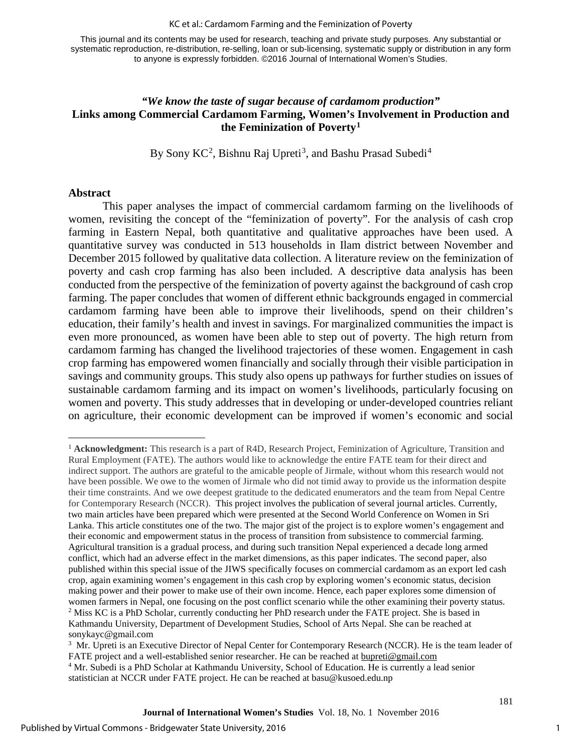#### KC et al.: Cardamom Farming and the Feminization of Poverty

This journal and its contents may be used for research, teaching and private study purposes. Any substantial or systematic reproduction, re-distribution, re-selling, loan or sub-licensing, systematic supply or distribution in any form to anyone is expressly forbidden. ©2016 Journal of International Women's Studies.

## *"We know the taste of sugar because of cardamom production"* **Links among Commercial Cardamom Farming, Women's Involvement in Production and the Feminization of Poverty[1](#page-1-0)**

By Sony KC<sup>[2](#page-1-1)</sup>, Bishnu Raj Upreti<sup>[3](#page-1-2)</sup>, and Bashu Prasad Subedi<sup>[4](#page-1-3)</sup>

#### **Abstract**

 $\overline{a}$ 

This paper analyses the impact of commercial cardamom farming on the livelihoods of women, revisiting the concept of the "feminization of poverty". For the analysis of cash crop farming in Eastern Nepal, both quantitative and qualitative approaches have been used. A quantitative survey was conducted in 513 households in Ilam district between November and December 2015 followed by qualitative data collection. A literature review on the feminization of poverty and cash crop farming has also been included. A descriptive data analysis has been conducted from the perspective of the feminization of poverty against the background of cash crop farming. The paper concludes that women of different ethnic backgrounds engaged in commercial cardamom farming have been able to improve their livelihoods, spend on their children's education, their family's health and invest in savings. For marginalized communities the impact is even more pronounced, as women have been able to step out of poverty. The high return from cardamom farming has changed the livelihood trajectories of these women. Engagement in cash crop farming has empowered women financially and socially through their visible participation in savings and community groups. This study also opens up pathways for further studies on issues of sustainable cardamom farming and its impact on women's livelihoods, particularly focusing on women and poverty. This study addresses that in developing or under-developed countries reliant on agriculture, their economic development can be improved if women's economic and social

<span id="page-1-0"></span><sup>1</sup> **Acknowledgment:** This research is a part of R4D, Research Project, Feminization of Agriculture, Transition and Rural Employment (FATE). The authors would like to acknowledge the entire FATE team for their direct and indirect support. The authors are grateful to the amicable people of Jirmale, without whom this research would not have been possible. We owe to the women of Jirmale who did not timid away to provide us the information despite their time constraints. And we owe deepest gratitude to the dedicated enumerators and the team from Nepal Centre for Contemporary Research (NCCR). This project involves the publication of several journal articles. Currently, two main articles have been prepared which were presented at the Second World Conference on Women in Sri Lanka. This article constitutes one of the two. The major gist of the project is to explore women's engagement and their economic and empowerment status in the process of transition from subsistence to commercial farming. Agricultural transition is a gradual process, and during such transition Nepal experienced a decade long armed conflict, which had an adverse effect in the market dimensions, as this paper indicates. The second paper, also published within this special issue of the JIWS specifically focuses on commercial cardamom as an export led cash crop, again examining women's engagement in this cash crop by exploring women's economic status, decision making power and their power to make use of their own income. Hence, each paper explores some dimension of women farmers in Nepal, one focusing on the post conflict scenario while the other examining their poverty status. <sup>2</sup> Miss KC is a PhD Scholar, currently conducting her PhD research under the FATE project. She is based in Kathmandu University, Department of Development Studies, School of Arts Nepal. She can be reached at [sonykayc@gmail.com](mailto:sonykayc@gmail.com) 3

<span id="page-1-2"></span><span id="page-1-1"></span><sup>&</sup>lt;sup>3</sup> Mr. Upreti is an Executive Director of Nepal Center for Contemporary Research (NCCR). He is the team leader of FATE project and a well-established senior researcher. He can be reached at **bupreti@gmail.com** <sup>4</sup> Mr. Subedi is a PhD Scholar at Kathmandu University, School of Education. He is currently a lead senior

<span id="page-1-3"></span>statistician at NCCR under FATE project. He can be reached at [basu@kusoed.edu.np](mailto:basu@kusoed.edu.np)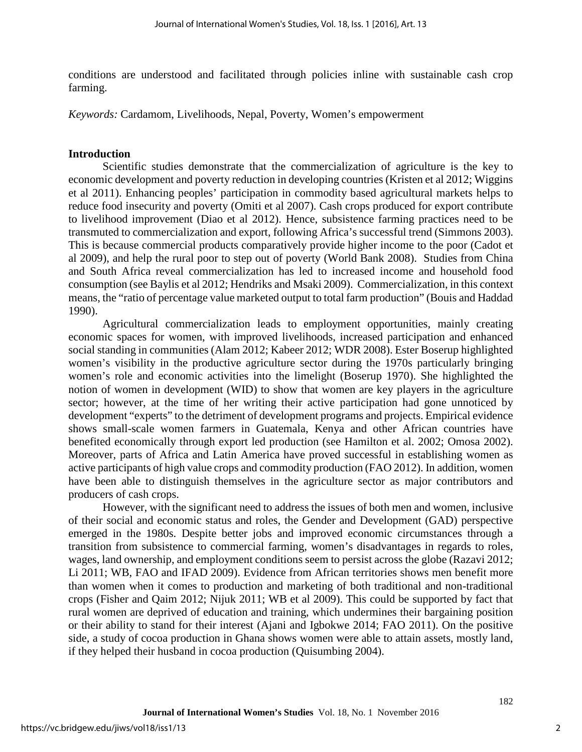conditions are understood and facilitated through policies inline with sustainable cash crop farming.

*Keywords:* Cardamom, Livelihoods, Nepal, Poverty, Women's empowerment

#### **Introduction**

Scientific studies demonstrate that the commercialization of agriculture is the key to economic development and poverty reduction in developing countries (Kristen et al 2012; Wiggins et al 2011). Enhancing peoples' participation in commodity based agricultural markets helps to reduce food insecurity and poverty (Omiti et al 2007). Cash crops produced for export contribute to livelihood improvement (Diao et al 2012). Hence, subsistence farming practices need to be transmuted to commercialization and export, following Africa's successful trend (Simmons 2003). This is because commercial products comparatively provide higher income to the poor (Cadot et al 2009), and help the rural poor to step out of poverty (World Bank 2008). Studies from China and South Africa reveal commercialization has led to increased income and household food consumption (see Baylis et al 2012; Hendriks and Msaki 2009). Commercialization, in this context means, the "ratio of percentage value marketed output to total farm production" (Bouis and Haddad 1990).

Agricultural commercialization leads to employment opportunities, mainly creating economic spaces for women, with improved livelihoods, increased participation and enhanced social standing in communities (Alam 2012; Kabeer 2012; WDR 2008). Ester Boserup highlighted women's visibility in the productive agriculture sector during the 1970s particularly bringing women's role and economic activities into the limelight (Boserup 1970). She highlighted the notion of women in development (WID) to show that women are key players in the agriculture sector; however, at the time of her writing their active participation had gone unnoticed by development "experts" to the detriment of development programs and projects. Empirical evidence shows small-scale women farmers in Guatemala, Kenya and other African countries have benefited economically through export led production (see Hamilton et al. 2002; Omosa 2002). Moreover, parts of Africa and Latin America have proved successful in establishing women as active participants of high value crops and commodity production (FAO 2012). In addition, women have been able to distinguish themselves in the agriculture sector as major contributors and producers of cash crops.

However, with the significant need to address the issues of both men and women, inclusive of their social and economic status and roles, the Gender and Development (GAD) perspective emerged in the 1980s. Despite better jobs and improved economic circumstances through a transition from subsistence to commercial farming, women's disadvantages in regards to roles, wages, land ownership, and employment conditions seem to persist across the globe (Razavi 2012; Li 2011; WB, FAO and IFAD 2009). Evidence from African territories shows men benefit more than women when it comes to production and marketing of both traditional and non-traditional crops (Fisher and Qaim 2012; Nijuk 2011; WB et al 2009). This could be supported by fact that rural women are deprived of education and training, which undermines their bargaining position or their ability to stand for their interest (Ajani and Igbokwe 2014; FAO 2011). On the positive side, a study of cocoa production in Ghana shows women were able to attain assets, mostly land, if they helped their husband in cocoa production (Quisumbing 2004).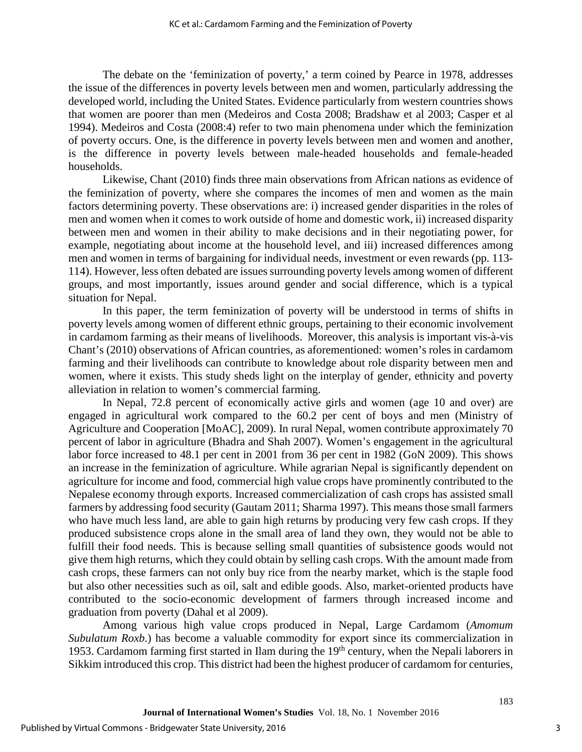The debate on the 'feminization of poverty,' a term coined by Pearce in 1978, addresses the issue of the differences in poverty levels between men and women, particularly addressing the developed world, including the United States. Evidence particularly from western countries shows that women are poorer than men (Medeiros and Costa 2008; Bradshaw et al 2003; Casper et al 1994). Medeiros and Costa (2008:4) refer to two main phenomena under which the feminization of poverty occurs. One, is the difference in poverty levels between men and women and another, is the difference in poverty levels between male-headed households and female-headed households.

Likewise, Chant (2010) finds three main observations from African nations as evidence of the feminization of poverty, where she compares the incomes of men and women as the main factors determining poverty. These observations are: i) increased gender disparities in the roles of men and women when it comes to work outside of home and domestic work, ii) increased disparity between men and women in their ability to make decisions and in their negotiating power, for example, negotiating about income at the household level, and iii) increased differences among men and women in terms of bargaining for individual needs, investment or even rewards (pp. 113- 114). However, less often debated are issues surrounding poverty levels among women of different groups, and most importantly, issues around gender and social difference, which is a typical situation for Nepal.

In this paper, the term feminization of poverty will be understood in terms of shifts in poverty levels among women of different ethnic groups, pertaining to their economic involvement in cardamom farming as their means of livelihoods. Moreover, this analysis is important vis-à-vis Chant's (2010) observations of African countries, as aforementioned: women's roles in cardamom farming and their livelihoods can contribute to knowledge about role disparity between men and women, where it exists. This study sheds light on the interplay of gender, ethnicity and poverty alleviation in relation to women's commercial farming.

In Nepal, 72.8 percent of economically active girls and women (age 10 and over) are engaged in agricultural work compared to the 60.2 per cent of boys and men (Ministry of Agriculture and Cooperation [MoAC], 2009). In rural Nepal, women contribute approximately 70 percent of labor in agriculture (Bhadra and Shah 2007). Women's engagement in the agricultural labor force increased to 48.1 per cent in 2001 from 36 per cent in 1982 (GoN 2009). This shows an increase in the feminization of agriculture. While agrarian Nepal is significantly dependent on agriculture for income and food, commercial high value crops have prominently contributed to the Nepalese economy through exports. Increased commercialization of cash crops has assisted small farmers by addressing food security (Gautam 2011; Sharma 1997). This means those small farmers who have much less land, are able to gain high returns by producing very few cash crops. If they produced subsistence crops alone in the small area of land they own, they would not be able to fulfill their food needs. This is because selling small quantities of subsistence goods would not give them high returns, which they could obtain by selling cash crops. With the amount made from cash crops, these farmers can not only buy rice from the nearby market, which is the staple food but also other necessities such as oil, salt and edible goods. Also, market-oriented products have contributed to the socio-economic development of farmers through increased income and graduation from poverty (Dahal et al 2009).

Among various high value crops produced in Nepal, Large Cardamom (*Amomum Subulatum Roxb*.) has become a valuable commodity for export since its commercialization in 1953. Cardamom farming first started in Ilam during the 19<sup>th</sup> century, when the Nepali laborers in Sikkim introduced this crop. This district had been the highest producer of cardamom for centuries,

3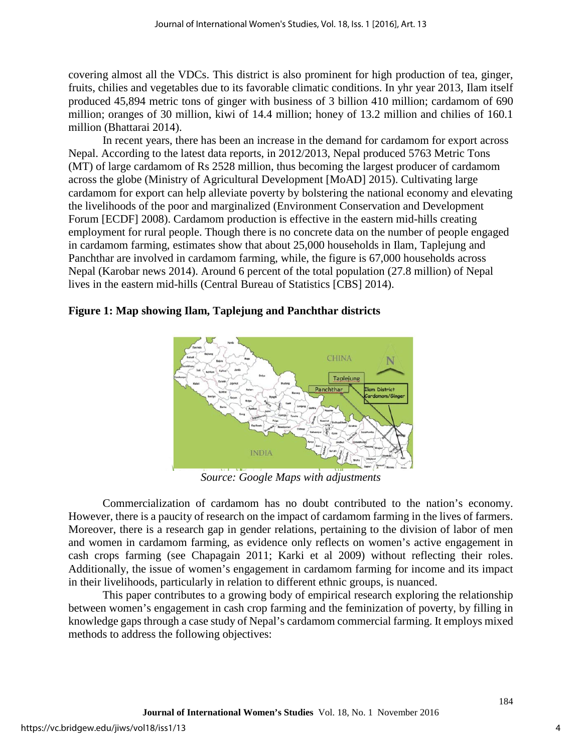covering almost all the VDCs. This district is also prominent for high production of tea, ginger, fruits, chilies and vegetables due to its favorable climatic conditions. In yhr year 2013, Ilam itself produced 45,894 metric tons of ginger with business of 3 billion 410 million; cardamom of 690 million; oranges of 30 million, kiwi of 14.4 million; honey of 13.2 million and chilies of 160.1 million (Bhattarai 2014).

In recent years, there has been an increase in the demand for cardamom for export across Nepal. According to the latest data reports, in 2012/2013, Nepal produced 5763 Metric Tons (MT) of large cardamom of Rs 2528 million, thus becoming the largest producer of cardamom across the globe (Ministry of Agricultural Development [MoAD] 2015). Cultivating large cardamom for export can help alleviate poverty by bolstering the national economy and elevating the livelihoods of the poor and marginalized (Environment Conservation and Development Forum [ECDF] 2008). Cardamom production is effective in the eastern mid-hills creating employment for rural people. Though there is no concrete data on the number of people engaged in cardamom farming, estimates show that about 25,000 households in Ilam, Taplejung and Panchthar are involved in cardamom farming, while, the figure is 67,000 households across Nepal (Karobar news 2014). Around 6 percent of the total population (27.8 million) of Nepal lives in the eastern mid-hills (Central Bureau of Statistics [CBS] 2014).



## **Figure 1: Map showing Ilam, Taplejung and Panchthar districts**

*Source: Google Maps with adjustments* 

Commercialization of cardamom has no doubt contributed to the nation's economy. However, there is a paucity of research on the impact of cardamom farming in the lives of farmers. Moreover, there is a research gap in gender relations, pertaining to the division of labor of men and women in cardamom farming, as evidence only reflects on women's active engagement in cash crops farming (see Chapagain 2011; Karki et al 2009) without reflecting their roles. Additionally, the issue of women's engagement in cardamom farming for income and its impact in their livelihoods, particularly in relation to different ethnic groups, is nuanced.

This paper contributes to a growing body of empirical research exploring the relationship between women's engagement in cash crop farming and the feminization of poverty, by filling in knowledge gaps through a case study of Nepal's cardamom commercial farming. It employs mixed methods to address the following objectives: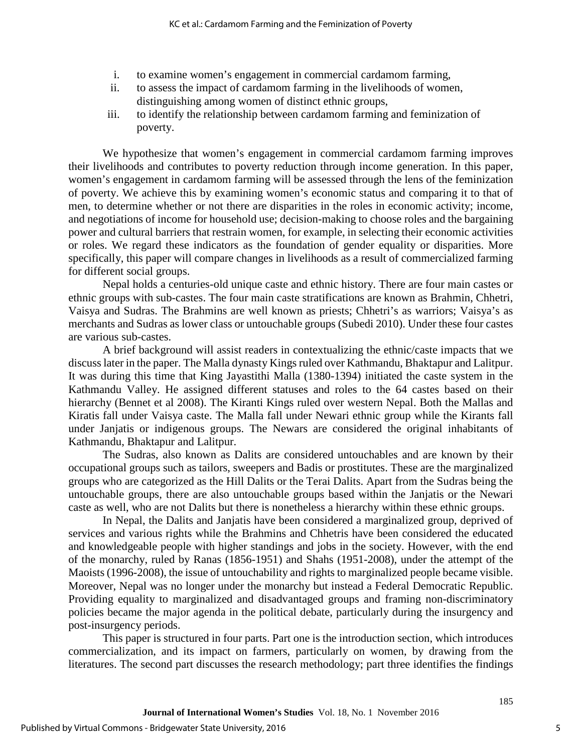- i. to examine women's engagement in commercial cardamom farming,
- ii. to assess the impact of cardamom farming in the livelihoods of women, distinguishing among women of distinct ethnic groups,
- iii. to identify the relationship between cardamom farming and feminization of poverty.

We hypothesize that women's engagement in commercial cardamom farming improves their livelihoods and contributes to poverty reduction through income generation. In this paper, women's engagement in cardamom farming will be assessed through the lens of the feminization of poverty. We achieve this by examining women's economic status and comparing it to that of men, to determine whether or not there are disparities in the roles in economic activity; income, and negotiations of income for household use; decision-making to choose roles and the bargaining power and cultural barriers that restrain women, for example, in selecting their economic activities or roles. We regard these indicators as the foundation of gender equality or disparities. More specifically, this paper will compare changes in livelihoods as a result of commercialized farming for different social groups.

Nepal holds a centuries-old unique caste and ethnic history. There are four main castes or ethnic groups with sub-castes. The four main caste stratifications are known as Brahmin, Chhetri, Vaisya and Sudras. The Brahmins are well known as priests; Chhetri's as warriors; Vaisya's as merchants and Sudras as lower class or untouchable groups (Subedi 2010). Under these four castes are various sub-castes.

A brief background will assist readers in contextualizing the ethnic/caste impacts that we discuss later in the paper. The Malla dynasty Kings ruled over Kathmandu, Bhaktapur and Lalitpur. It was during this time that King Jayastithi Malla (1380-1394) initiated the caste system in the Kathmandu Valley. He assigned different statuses and roles to the 64 castes based on their hierarchy (Bennet et al 2008). The Kiranti Kings ruled over western Nepal. Both the Mallas and Kiratis fall under Vaisya caste. The Malla fall under Newari ethnic group while the Kirants fall under Janjatis or indigenous groups. The Newars are considered the original inhabitants of Kathmandu, Bhaktapur and Lalitpur.

The Sudras, also known as Dalits are considered untouchables and are known by their occupational groups such as tailors, sweepers and Badis or prostitutes. These are the marginalized groups who are categorized as the Hill Dalits or the Terai Dalits. Apart from the Sudras being the untouchable groups, there are also untouchable groups based within the Janjatis or the Newari caste as well, who are not Dalits but there is nonetheless a hierarchy within these ethnic groups.

In Nepal, the Dalits and Janjatis have been considered a marginalized group, deprived of services and various rights while the Brahmins and Chhetris have been considered the educated and knowledgeable people with higher standings and jobs in the society. However, with the end of the monarchy, ruled by Ranas (1856-1951) and Shahs (1951-2008), under the attempt of the Maoists (1996-2008), the issue of untouchability and rights to marginalized people became visible. Moreover, Nepal was no longer under the monarchy but instead a Federal Democratic Republic. Providing equality to marginalized and disadvantaged groups and framing non-discriminatory policies became the major agenda in the political debate, particularly during the insurgency and post-insurgency periods.

This paper is structured in four parts. Part one is the introduction section, which introduces commercialization, and its impact on farmers, particularly on women, by drawing from the literatures. The second part discusses the research methodology; part three identifies the findings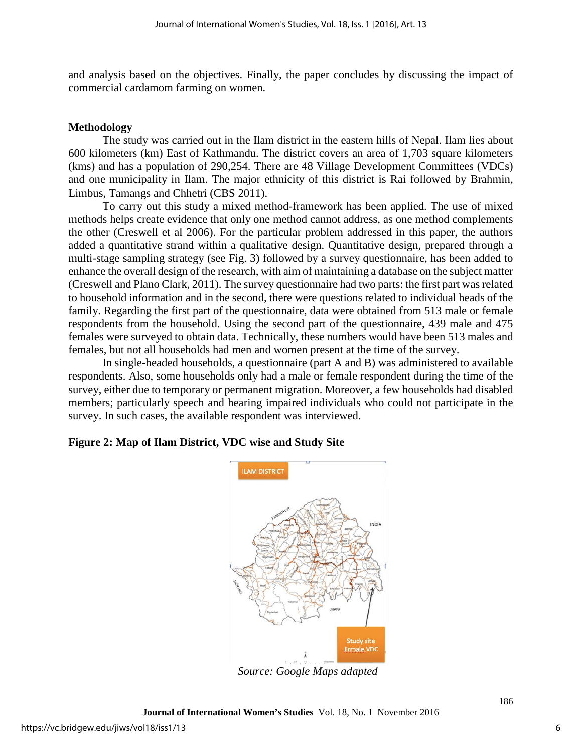and analysis based on the objectives. Finally, the paper concludes by discussing the impact of commercial cardamom farming on women.

## **Methodology**

The study was carried out in the Ilam district in the eastern hills of Nepal. Ilam lies about 600 kilometers (km) East of Kathmandu. The district covers an area of 1,703 square kilometers (kms) and has a population of 290,254. There are 48 Village Development Committees (VDCs) and one municipality in Ilam. The major ethnicity of this district is Rai followed by Brahmin, Limbus, Tamangs and Chhetri (CBS 2011).

To carry out this study a mixed method-framework has been applied. The use of mixed methods helps create evidence that only one method cannot address, as one method complements the other (Creswell et al 2006). For the particular problem addressed in this paper, the authors added a quantitative strand within a qualitative design. Quantitative design, prepared through a multi-stage sampling strategy (see Fig. 3) followed by a survey questionnaire, has been added to enhance the overall design of the research, with aim of maintaining a database on the subject matter (Creswell and Plano Clark, 2011). The survey questionnaire had two parts: the first part was related to household information and in the second, there were questions related to individual heads of the family. Regarding the first part of the questionnaire, data were obtained from 513 male or female respondents from the household. Using the second part of the questionnaire, 439 male and 475 females were surveyed to obtain data. Technically, these numbers would have been 513 males and females, but not all households had men and women present at the time of the survey.

In single-headed households, a questionnaire (part A and B) was administered to available respondents. Also, some households only had a male or female respondent during the time of the survey, either due to temporary or permanent migration. Moreover, a few households had disabled members; particularly speech and hearing impaired individuals who could not participate in the survey. In such cases, the available respondent was interviewed.

## **Figure 2: Map of Ilam District, VDC wise and Study Site**



*Source: Google Maps adapted*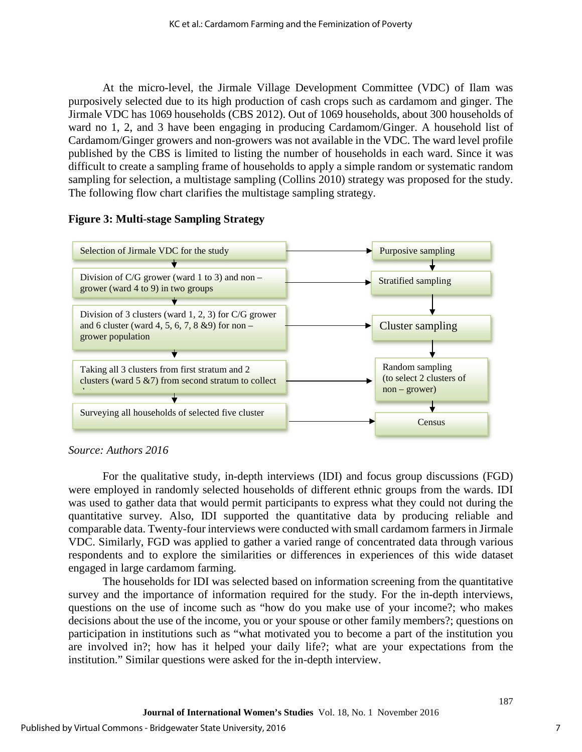At the micro-level, the Jirmale Village Development Committee (VDC) of Ilam was purposively selected due to its high production of cash crops such as cardamom and ginger. The Jirmale VDC has 1069 households (CBS 2012). Out of 1069 households, about 300 households of ward no 1, 2, and 3 have been engaging in producing Cardamom/Ginger. A household list of Cardamom/Ginger growers and non-growers was not available in the VDC. The ward level profile published by the CBS is limited to listing the number of households in each ward. Since it was difficult to create a sampling frame of households to apply a simple random or systematic random sampling for selection, a multistage sampling (Collins 2010) strategy was proposed for the study. The following flow chart clarifies the multistage sampling strategy.

## **Figure 3: Multi-stage Sampling Strategy**



## *Source: Authors 2016*

For the qualitative study, in-depth interviews (IDI) and focus group discussions (FGD) were employed in randomly selected households of different ethnic groups from the wards. IDI was used to gather data that would permit participants to express what they could not during the quantitative survey. Also, IDI supported the quantitative data by producing reliable and comparable data. Twenty-four interviews were conducted with small cardamom farmers in Jirmale VDC. Similarly, FGD was applied to gather a varied range of concentrated data through various respondents and to explore the similarities or differences in experiences of this wide dataset engaged in large cardamom farming.

The households for IDI was selected based on information screening from the quantitative survey and the importance of information required for the study. For the in-depth interviews, questions on the use of income such as "how do you make use of your income?; who makes decisions about the use of the income, you or your spouse or other family members?; questions on participation in institutions such as "what motivated you to become a part of the institution you are involved in?; how has it helped your daily life?; what are your expectations from the institution." Similar questions were asked for the in-depth interview.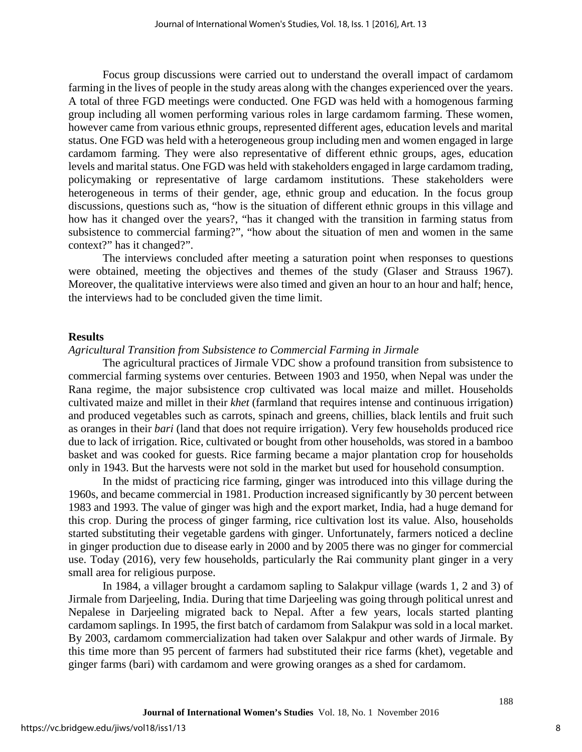Focus group discussions were carried out to understand the overall impact of cardamom farming in the lives of people in the study areas along with the changes experienced over the years. A total of three FGD meetings were conducted. One FGD was held with a homogenous farming group including all women performing various roles in large cardamom farming. These women, however came from various ethnic groups, represented different ages, education levels and marital status. One FGD was held with a heterogeneous group including men and women engaged in large cardamom farming. They were also representative of different ethnic groups, ages, education levels and marital status. One FGD was held with stakeholders engaged in large cardamom trading, policymaking or representative of large cardamom institutions. These stakeholders were heterogeneous in terms of their gender, age, ethnic group and education. In the focus group discussions, questions such as, "how is the situation of different ethnic groups in this village and how has it changed over the years?, "has it changed with the transition in farming status from subsistence to commercial farming?", "how about the situation of men and women in the same context?" has it changed?".

The interviews concluded after meeting a saturation point when responses to questions were obtained, meeting the objectives and themes of the study (Glaser and Strauss 1967). Moreover, the qualitative interviews were also timed and given an hour to an hour and half; hence, the interviews had to be concluded given the time limit.

#### **Results**

#### *Agricultural Transition from Subsistence to Commercial Farming in Jirmale*

The agricultural practices of Jirmale VDC show a profound transition from subsistence to commercial farming systems over centuries. Between 1903 and 1950, when Nepal was under the Rana regime, the major subsistence crop cultivated was local maize and millet. Households cultivated maize and millet in their *khet* (farmland that requires intense and continuous irrigation) and produced vegetables such as carrots, spinach and greens, chillies, black lentils and fruit such as oranges in their *bari* (land that does not require irrigation). Very few households produced rice due to lack of irrigation. Rice, cultivated or bought from other households, was stored in a bamboo basket and was cooked for guests. Rice farming became a major plantation crop for households only in 1943. But the harvests were not sold in the market but used for household consumption.

In the midst of practicing rice farming, ginger was introduced into this village during the 1960s, and became commercial in 1981. Production increased significantly by 30 percent between 1983 and 1993. The value of ginger was high and the export market, India, had a huge demand for this crop. During the process of ginger farming, rice cultivation lost its value. Also, households started substituting their vegetable gardens with ginger. Unfortunately, farmers noticed a decline in ginger production due to disease early in 2000 and by 2005 there was no ginger for commercial use. Today (2016), very few households, particularly the Rai community plant ginger in a very small area for religious purpose.

In 1984, a villager brought a cardamom sapling to Salakpur village (wards 1, 2 and 3) of Jirmale from Darjeeling, India. During that time Darjeeling was going through political unrest and Nepalese in Darjeeling migrated back to Nepal. After a few years, locals started planting cardamom saplings. In 1995, the first batch of cardamom from Salakpur was sold in a local market. By 2003, cardamom commercialization had taken over Salakpur and other wards of Jirmale. By this time more than 95 percent of farmers had substituted their rice farms (khet), vegetable and ginger farms (bari) with cardamom and were growing oranges as a shed for cardamom.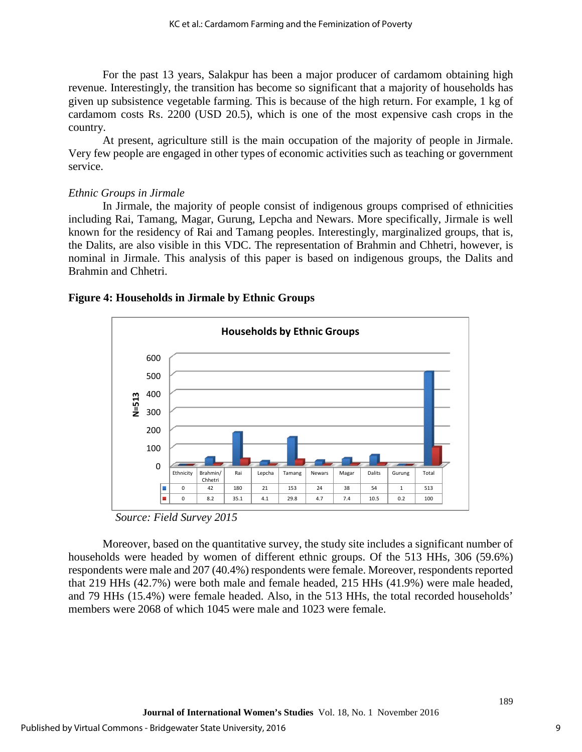For the past 13 years, Salakpur has been a major producer of cardamom obtaining high revenue. Interestingly, the transition has become so significant that a majority of households has given up subsistence vegetable farming. This is because of the high return. For example, 1 kg of cardamom costs Rs. 2200 (USD 20.5), which is one of the most expensive cash crops in the country.

At present, agriculture still is the main occupation of the majority of people in Jirmale. Very few people are engaged in other types of economic activities such as teaching or government service.

## *Ethnic Groups in Jirmale*

In Jirmale, the majority of people consist of indigenous groups comprised of ethnicities including Rai, Tamang, Magar, Gurung, Lepcha and Newars. More specifically, Jirmale is well known for the residency of Rai and Tamang peoples. Interestingly, marginalized groups, that is, the Dalits, are also visible in this VDC. The representation of Brahmin and Chhetri, however, is nominal in Jirmale. This analysis of this paper is based on indigenous groups, the Dalits and Brahmin and Chhetri.

## **Figure 4: Households in Jirmale by Ethnic Groups**



*Source: Field Survey 2015* 

Moreover, based on the quantitative survey, the study site includes a significant number of households were headed by women of different ethnic groups. Of the 513 HHs, 306 (59.6%) respondents were male and 207 (40.4%) respondents were female. Moreover, respondents reported that 219 HHs (42.7%) were both male and female headed, 215 HHs (41.9%) were male headed, and 79 HHs (15.4%) were female headed. Also, in the 513 HHs, the total recorded households' members were 2068 of which 1045 were male and 1023 were female.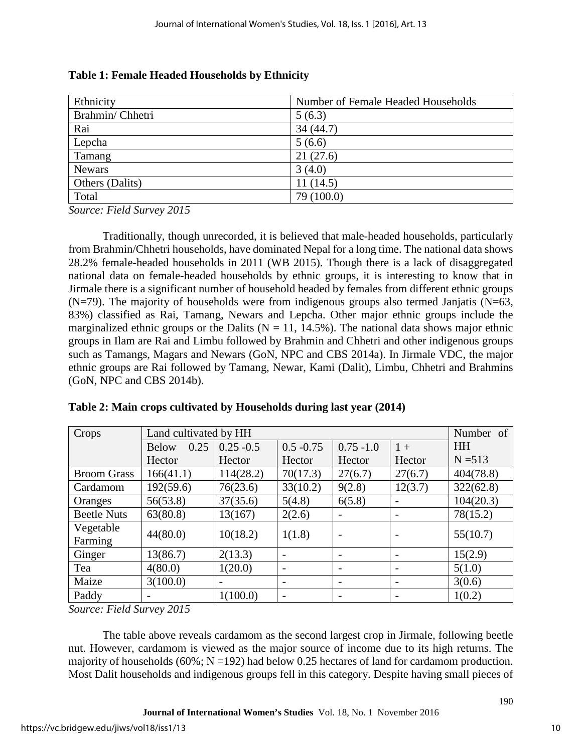| Ethnicity       | Number of Female Headed Households |
|-----------------|------------------------------------|
| Brahmin/Chhetri | 5(6.3)                             |
| Rai             | 34(44.7)                           |
| Lepcha          | 5(6.6)                             |
| Tamang          | 21(27.6)                           |
| <b>Newars</b>   | 3(4.0)                             |
| Others (Dalits) | 11(14.5)                           |
| Total           | 79 (100.0)                         |

| Table 1: Female Headed Households by Ethnicity |  |  |  |  |
|------------------------------------------------|--|--|--|--|
|------------------------------------------------|--|--|--|--|

*Source: Field Survey 2015* 

Traditionally, though unrecorded, it is believed that male-headed households, particularly from Brahmin/Chhetri households, have dominated Nepal for a long time. The national data shows 28.2% female-headed households in 2011 (WB 2015). Though there is a lack of disaggregated national data on female-headed households by ethnic groups, it is interesting to know that in Jirmale there is a significant number of household headed by females from different ethnic groups  $(N=79)$ . The majority of households were from indigenous groups also termed Janjatis  $(N=63, 63)$ 83%) classified as Rai, Tamang, Newars and Lepcha. Other major ethnic groups include the marginalized ethnic groups or the Dalits ( $N = 11$ , 14.5%). The national data shows major ethnic groups in Ilam are Rai and Limbu followed by Brahmin and Chhetri and other indigenous groups such as Tamangs, Magars and Newars (GoN, NPC and CBS 2014a). In Jirmale VDC, the major ethnic groups are Rai followed by Tamang, Newar, Kami (Dalit), Limbu, Chhetri and Brahmins (GoN, NPC and CBS 2014b).

| Crops                | Land cultivated by HH |                          |                          | Number of                |                          |           |
|----------------------|-----------------------|--------------------------|--------------------------|--------------------------|--------------------------|-----------|
|                      | 0.25<br><b>Below</b>  | $0.25 - 0.5$             | $0.5 - 0.75$             | $0.75 - 1.0$             | $1 +$                    | <b>HH</b> |
|                      | Hector                | Hector                   | Hector                   | Hector                   | Hector                   | $N = 513$ |
| <b>Broom Grass</b>   | 166(41.1)             | 114(28.2)                | 70(17.3)                 | 27(6.7)                  | 27(6.7)                  | 404(78.8) |
| Cardamom             | 192(59.6)             | 76(23.6)                 | 33(10.2)                 | 9(2.8)                   | 12(3.7)                  | 322(62.8) |
| Oranges              | 56(53.8)              | 37(35.6)                 | 5(4.8)                   | 6(5.8)                   |                          | 104(20.3) |
| <b>Beetle Nuts</b>   | 63(80.8)              | 13(167)                  | 2(2.6)                   |                          |                          | 78(15.2)  |
| Vegetable<br>Farming | 44(80.0)              | 10(18.2)                 | 1(1.8)                   | $\overline{\phantom{a}}$ |                          | 55(10.7)  |
| Ginger               | 13(86.7)              | 2(13.3)                  |                          |                          |                          | 15(2.9)   |
| Tea                  | 4(80.0)               | 1(20.0)                  | $\overline{\phantom{a}}$ | $\overline{\phantom{0}}$ | $\overline{\phantom{0}}$ | 5(1.0)    |
| Maize                | 3(100.0)              | $\overline{\phantom{0}}$ | $\overline{\phantom{a}}$ | $\overline{\phantom{0}}$ |                          | 3(0.6)    |
| Paddy                |                       | 1(100.0)                 |                          |                          |                          | 1(0.2)    |

**Table 2: Main crops cultivated by Households during last year (2014)** 

*Source: Field Survey 2015* 

The table above reveals cardamom as the second largest crop in Jirmale, following beetle nut. However, cardamom is viewed as the major source of income due to its high returns. The majority of households (60%;  $N = 192$ ) had below 0.25 hectares of land for cardamom production. Most Dalit households and indigenous groups fell in this category. Despite having small pieces of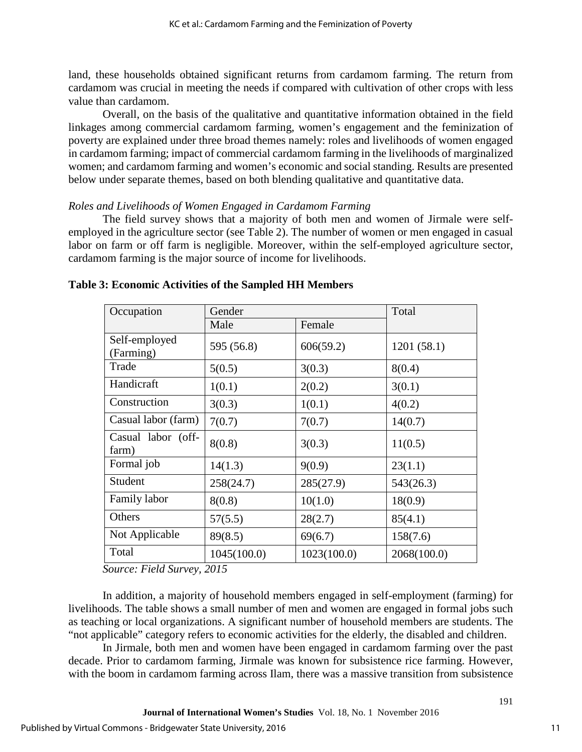land, these households obtained significant returns from cardamom farming. The return from cardamom was crucial in meeting the needs if compared with cultivation of other crops with less value than cardamom.

Overall, on the basis of the qualitative and quantitative information obtained in the field linkages among commercial cardamom farming, women's engagement and the feminization of poverty are explained under three broad themes namely: roles and livelihoods of women engaged in cardamom farming; impact of commercial cardamom farming in the livelihoods of marginalized women; and cardamom farming and women's economic and social standing. Results are presented below under separate themes, based on both blending qualitative and quantitative data.

## *Roles and Livelihoods of Women Engaged in Cardamom Farming*

The field survey shows that a majority of both men and women of Jirmale were selfemployed in the agriculture sector (see Table 2). The number of women or men engaged in casual labor on farm or off farm is negligible. Moreover, within the self-employed agriculture sector, cardamom farming is the major source of income for livelihoods.

| Occupation                  | Gender      |             | Total       |
|-----------------------------|-------------|-------------|-------------|
|                             | Male        | Female      |             |
| Self-employed<br>(Farming)  | 595 (56.8)  | 606(59.2)   | 1201(58.1)  |
| Trade                       | 5(0.5)      | 3(0.3)      | 8(0.4)      |
| Handicraft                  | 1(0.1)      | 2(0.2)      | 3(0.1)      |
| Construction                | 3(0.3)      | 1(0.1)      | 4(0.2)      |
| Casual labor (farm)         | 7(0.7)      | 7(0.7)      | 14(0.7)     |
| Casual labor (off-<br>farm) | 8(0.8)      | 3(0.3)      | 11(0.5)     |
| Formal job                  | 14(1.3)     | 9(0.9)      | 23(1.1)     |
| Student                     | 258(24.7)   | 285(27.9)   | 543(26.3)   |
| Family labor                | 8(0.8)      | 10(1.0)     | 18(0.9)     |
| Others                      | 57(5.5)     | 28(2.7)     | 85(4.1)     |
| Not Applicable              | 89(8.5)     | 69(6.7)     | 158(7.6)    |
| Total                       | 1045(100.0) | 1023(100.0) | 2068(100.0) |

**Table 3: Economic Activities of the Sampled HH Members**

*Source: Field Survey, 2015* 

In addition, a majority of household members engaged in self-employment (farming) for livelihoods. The table shows a small number of men and women are engaged in formal jobs such as teaching or local organizations. A significant number of household members are students. The "not applicable" category refers to economic activities for the elderly, the disabled and children.

In Jirmale, both men and women have been engaged in cardamom farming over the past decade. Prior to cardamom farming, Jirmale was known for subsistence rice farming. However, with the boom in cardamom farming across Ilam, there was a massive transition from subsistence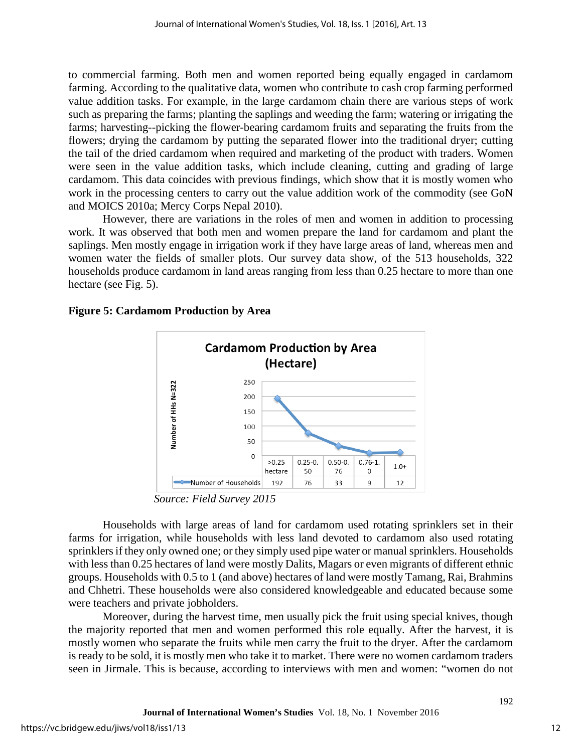to commercial farming. Both men and women reported being equally engaged in cardamom farming. According to the qualitative data, women who contribute to cash crop farming performed value addition tasks. For example, in the large cardamom chain there are various steps of work such as preparing the farms; planting the saplings and weeding the farm; watering or irrigating the farms; harvesting--picking the flower-bearing cardamom fruits and separating the fruits from the flowers; drying the cardamom by putting the separated flower into the traditional dryer; cutting the tail of the dried cardamom when required and marketing of the product with traders. Women were seen in the value addition tasks, which include cleaning, cutting and grading of large cardamom. This data coincides with previous findings, which show that it is mostly women who work in the processing centers to carry out the value addition work of the commodity (see GoN and MOICS 2010a; Mercy Corps Nepal 2010).

However, there are variations in the roles of men and women in addition to processing work. It was observed that both men and women prepare the land for cardamom and plant the saplings. Men mostly engage in irrigation work if they have large areas of land, whereas men and women water the fields of smaller plots. Our survey data show, of the 513 households, 322 households produce cardamom in land areas ranging from less than 0.25 hectare to more than one hectare (see Fig. 5).

## **Figure 5: Cardamom Production by Area**



*Source: Field Survey 2015* 

Households with large areas of land for cardamom used rotating sprinklers set in their farms for irrigation, while households with less land devoted to cardamom also used rotating sprinklers if they only owned one; or they simply used pipe water or manual sprinklers. Households with less than 0.25 hectares of land were mostly Dalits, Magars or even migrants of different ethnic groups. Households with 0.5 to 1 (and above) hectares of land were mostly Tamang, Rai, Brahmins and Chhetri. These households were also considered knowledgeable and educated because some were teachers and private jobholders.

Moreover, during the harvest time, men usually pick the fruit using special knives, though the majority reported that men and women performed this role equally. After the harvest, it is mostly women who separate the fruits while men carry the fruit to the dryer. After the cardamom is ready to be sold, it is mostly men who take it to market. There were no women cardamom traders seen in Jirmale. This is because, according to interviews with men and women: "women do not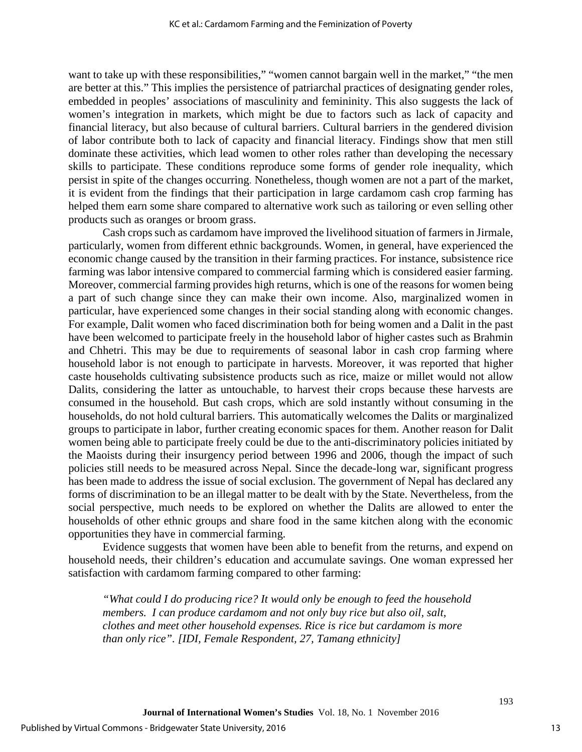want to take up with these responsibilities," "women cannot bargain well in the market," "the men are better at this." This implies the persistence of patriarchal practices of designating gender roles, embedded in peoples' associations of masculinity and femininity. This also suggests the lack of women's integration in markets, which might be due to factors such as lack of capacity and financial literacy, but also because of cultural barriers. Cultural barriers in the gendered division of labor contribute both to lack of capacity and financial literacy. Findings show that men still dominate these activities, which lead women to other roles rather than developing the necessary skills to participate. These conditions reproduce some forms of gender role inequality, which persist in spite of the changes occurring. Nonetheless, though women are not a part of the market, it is evident from the findings that their participation in large cardamom cash crop farming has helped them earn some share compared to alternative work such as tailoring or even selling other products such as oranges or broom grass.

Cash crops such as cardamom have improved the livelihood situation of farmers in Jirmale, particularly, women from different ethnic backgrounds. Women, in general, have experienced the economic change caused by the transition in their farming practices. For instance, subsistence rice farming was labor intensive compared to commercial farming which is considered easier farming. Moreover, commercial farming provides high returns, which is one of the reasons for women being a part of such change since they can make their own income. Also, marginalized women in particular, have experienced some changes in their social standing along with economic changes. For example, Dalit women who faced discrimination both for being women and a Dalit in the past have been welcomed to participate freely in the household labor of higher castes such as Brahmin and Chhetri. This may be due to requirements of seasonal labor in cash crop farming where household labor is not enough to participate in harvests. Moreover, it was reported that higher caste households cultivating subsistence products such as rice, maize or millet would not allow Dalits, considering the latter as untouchable, to harvest their crops because these harvests are consumed in the household. But cash crops, which are sold instantly without consuming in the households, do not hold cultural barriers. This automatically welcomes the Dalits or marginalized groups to participate in labor, further creating economic spaces for them. Another reason for Dalit women being able to participate freely could be due to the anti-discriminatory policies initiated by the Maoists during their insurgency period between 1996 and 2006, though the impact of such policies still needs to be measured across Nepal. Since the decade-long war, significant progress has been made to address the issue of social exclusion. The government of Nepal has declared any forms of discrimination to be an illegal matter to be dealt with by the State. Nevertheless, from the social perspective, much needs to be explored on whether the Dalits are allowed to enter the households of other ethnic groups and share food in the same kitchen along with the economic opportunities they have in commercial farming.

Evidence suggests that women have been able to benefit from the returns, and expend on household needs, their children's education and accumulate savings. One woman expressed her satisfaction with cardamom farming compared to other farming:

*"What could I do producing rice? It would only be enough to feed the household members. I can produce cardamom and not only buy rice but also oil, salt, clothes and meet other household expenses. Rice is rice but cardamom is more than only rice". [IDI, Female Respondent, 27, Tamang ethnicity]*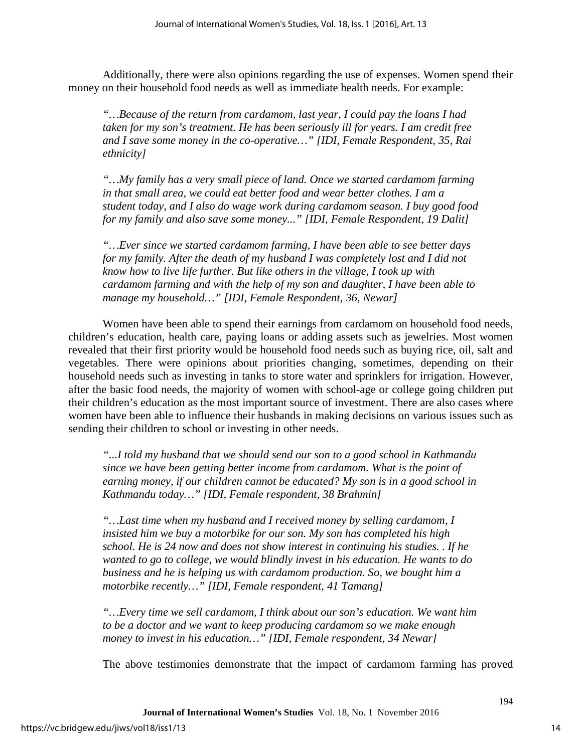Additionally, there were also opinions regarding the use of expenses. Women spend their money on their household food needs as well as immediate health needs. For example:

*"…Because of the return from cardamom, last year, I could pay the loans I had taken for my son's treatment. He has been seriously ill for years. I am credit free and I save some money in the co-operative…" [IDI, Female Respondent, 35, Rai ethnicity]* 

*"…My family has a very small piece of land. Once we started cardamom farming in that small area, we could eat better food and wear better clothes. I am a student today, and I also do wage work during cardamom season. I buy good food for my family and also save some money..." [IDI, Female Respondent, 19 Dalit]* 

*"…Ever since we started cardamom farming, I have been able to see better days for my family. After the death of my husband I was completely lost and I did not know how to live life further. But like others in the village, I took up with cardamom farming and with the help of my son and daughter, I have been able to manage my household…" [IDI, Female Respondent, 36, Newar]* 

Women have been able to spend their earnings from cardamom on household food needs, children's education, health care, paying loans or adding assets such as jewelries. Most women revealed that their first priority would be household food needs such as buying rice, oil, salt and vegetables. There were opinions about priorities changing, sometimes, depending on their household needs such as investing in tanks to store water and sprinklers for irrigation. However, after the basic food needs, the majority of women with school-age or college going children put their children's education as the most important source of investment. There are also cases where women have been able to influence their husbands in making decisions on various issues such as sending their children to school or investing in other needs.

*"...I told my husband that we should send our son to a good school in Kathmandu since we have been getting better income from cardamom. What is the point of earning money, if our children cannot be educated? My son is in a good school in Kathmandu today…" [IDI, Female respondent, 38 Brahmin]* 

*"…Last time when my husband and I received money by selling cardamom, I insisted him we buy a motorbike for our son. My son has completed his high school. He is 24 now and does not show interest in continuing his studies. . If he wanted to go to college, we would blindly invest in his education. He wants to do business and he is helping us with cardamom production. So, we bought him a motorbike recently…" [IDI, Female respondent, 41 Tamang]* 

*"…Every time we sell cardamom, I think about our son's education. We want him to be a doctor and we want to keep producing cardamom so we make enough money to invest in his education…" [IDI, Female respondent, 34 Newar]* 

The above testimonies demonstrate that the impact of cardamom farming has proved

**Journal of International Women's Studies** Vol. 18, No. 1 November 2016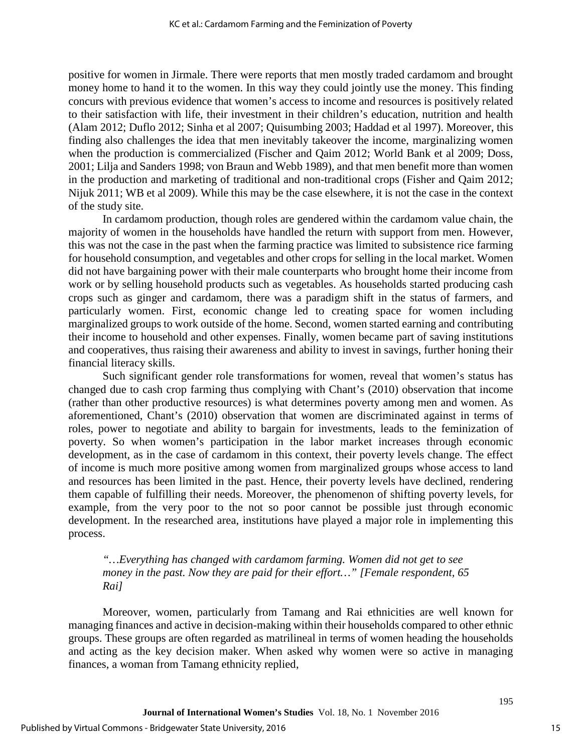positive for women in Jirmale. There were reports that men mostly traded cardamom and brought money home to hand it to the women. In this way they could jointly use the money. This finding concurs with previous evidence that women's access to income and resources is positively related to their satisfaction with life, their investment in their children's education, nutrition and health (Alam 2012; Duflo 2012; Sinha et al 2007; Quisumbing 2003; Haddad et al 1997). Moreover, this finding also challenges the idea that men inevitably takeover the income, marginalizing women when the production is commercialized (Fischer and Qaim 2012; World Bank et al 2009; Doss, 2001; Lilja and Sanders 1998; von Braun and Webb 1989), and that men benefit more than women in the production and marketing of traditional and non-traditional crops (Fisher and Qaim 2012; Nijuk 2011; WB et al 2009). While this may be the case elsewhere, it is not the case in the context of the study site.

In cardamom production, though roles are gendered within the cardamom value chain, the majority of women in the households have handled the return with support from men. However, this was not the case in the past when the farming practice was limited to subsistence rice farming for household consumption, and vegetables and other crops for selling in the local market. Women did not have bargaining power with their male counterparts who brought home their income from work or by selling household products such as vegetables. As households started producing cash crops such as ginger and cardamom, there was a paradigm shift in the status of farmers, and particularly women. First, economic change led to creating space for women including marginalized groups to work outside of the home. Second, women started earning and contributing their income to household and other expenses. Finally, women became part of saving institutions and cooperatives, thus raising their awareness and ability to invest in savings, further honing their financial literacy skills.

Such significant gender role transformations for women, reveal that women's status has changed due to cash crop farming thus complying with Chant's (2010) observation that income (rather than other productive resources) is what determines poverty among men and women. As aforementioned, Chant's (2010) observation that women are discriminated against in terms of roles, power to negotiate and ability to bargain for investments, leads to the feminization of poverty. So when women's participation in the labor market increases through economic development, as in the case of cardamom in this context, their poverty levels change. The effect of income is much more positive among women from marginalized groups whose access to land and resources has been limited in the past. Hence, their poverty levels have declined, rendering them capable of fulfilling their needs. Moreover, the phenomenon of shifting poverty levels, for example, from the very poor to the not so poor cannot be possible just through economic development. In the researched area, institutions have played a major role in implementing this process.

## *"…Everything has changed with cardamom farming. Women did not get to see money in the past. Now they are paid for their effort…" [Female respondent, 65 Rai]*

Moreover, women, particularly from Tamang and Rai ethnicities are well known for managing finances and active in decision-making within their households compared to other ethnic groups. These groups are often regarded as matrilineal in terms of women heading the households and acting as the key decision maker. When asked why women were so active in managing finances, a woman from Tamang ethnicity replied,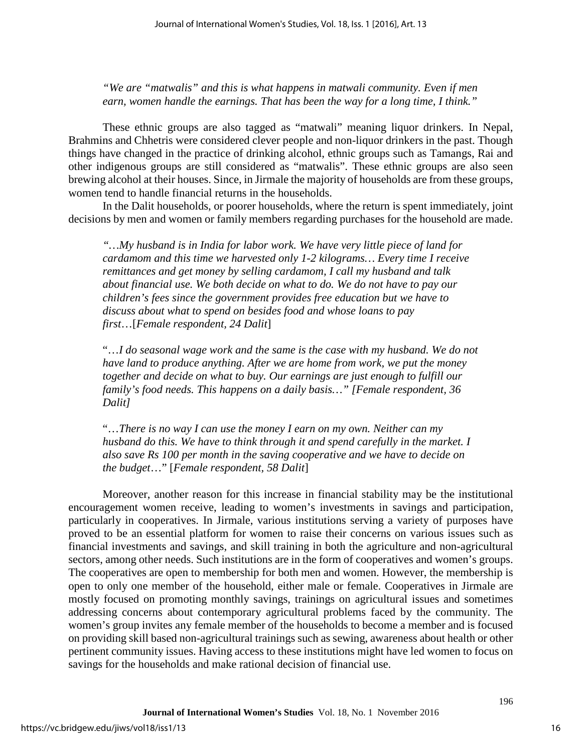*"We are "matwalis" and this is what happens in matwali community. Even if men earn, women handle the earnings. That has been the way for a long time, I think."* 

These ethnic groups are also tagged as "matwali" meaning liquor drinkers. In Nepal, Brahmins and Chhetris were considered clever people and non-liquor drinkers in the past. Though things have changed in the practice of drinking alcohol, ethnic groups such as Tamangs, Rai and other indigenous groups are still considered as "matwalis". These ethnic groups are also seen brewing alcohol at their houses. Since, in Jirmale the majority of households are from these groups, women tend to handle financial returns in the households.

In the Dalit households, or poorer households, where the return is spent immediately, joint decisions by men and women or family members regarding purchases for the household are made.

*"…My husband is in India for labor work. We have very little piece of land for cardamom and this time we harvested only 1-2 kilograms… Every time I receive remittances and get money by selling cardamom, I call my husband and talk about financial use. We both decide on what to do. We do not have to pay our children's fees since the government provides free education but we have to discuss about what to spend on besides food and whose loans to pay first*…[*Female respondent, 24 Dalit*]

"…*I do seasonal wage work and the same is the case with my husband. We do not have land to produce anything. After we are home from work, we put the money together and decide on what to buy. Our earnings are just enough to fulfill our family's food needs. This happens on a daily basis…" [Female respondent, 36 Dalit]*

"…*There is no way I can use the money I earn on my own. Neither can my husband do this. We have to think through it and spend carefully in the market. I also save Rs 100 per month in the saving cooperative and we have to decide on the budget*…" [*Female respondent, 58 Dalit*]

Moreover, another reason for this increase in financial stability may be the institutional encouragement women receive, leading to women's investments in savings and participation, particularly in cooperatives. In Jirmale, various institutions serving a variety of purposes have proved to be an essential platform for women to raise their concerns on various issues such as financial investments and savings, and skill training in both the agriculture and non-agricultural sectors, among other needs. Such institutions are in the form of cooperatives and women's groups. The cooperatives are open to membership for both men and women. However, the membership is open to only one member of the household, either male or female. Cooperatives in Jirmale are mostly focused on promoting monthly savings, trainings on agricultural issues and sometimes addressing concerns about contemporary agricultural problems faced by the community. The women's group invites any female member of the households to become a member and is focused on providing skill based non-agricultural trainings such as sewing, awareness about health or other pertinent community issues. Having access to these institutions might have led women to focus on savings for the households and make rational decision of financial use.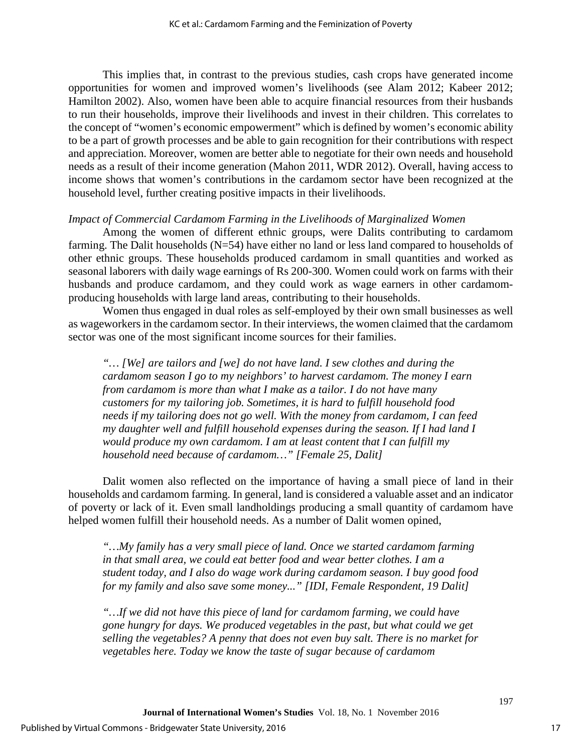This implies that, in contrast to the previous studies, cash crops have generated income opportunities for women and improved women's livelihoods (see Alam 2012; Kabeer 2012; Hamilton 2002). Also, women have been able to acquire financial resources from their husbands to run their households, improve their livelihoods and invest in their children. This correlates to the concept of "women's economic empowerment" which is defined by women's economic ability to be a part of growth processes and be able to gain recognition for their contributions with respect and appreciation. Moreover, women are better able to negotiate for their own needs and household needs as a result of their income generation (Mahon 2011, WDR 2012). Overall, having access to income shows that women's contributions in the cardamom sector have been recognized at the household level, further creating positive impacts in their livelihoods.

#### *Impact of Commercial Cardamom Farming in the Livelihoods of Marginalized Women*

Among the women of different ethnic groups, were Dalits contributing to cardamom farming. The Dalit households (N=54) have either no land or less land compared to households of other ethnic groups. These households produced cardamom in small quantities and worked as seasonal laborers with daily wage earnings of Rs 200-300. Women could work on farms with their husbands and produce cardamom, and they could work as wage earners in other cardamomproducing households with large land areas, contributing to their households.

Women thus engaged in dual roles as self-employed by their own small businesses as well as wageworkers in the cardamom sector. In their interviews, the women claimed that the cardamom sector was one of the most significant income sources for their families.

*"… [We] are tailors and [we] do not have land. I sew clothes and during the cardamom season I go to my neighbors' to harvest cardamom. The money I earn from cardamom is more than what I make as a tailor. I do not have many customers for my tailoring job. Sometimes, it is hard to fulfill household food needs if my tailoring does not go well. With the money from cardamom, I can feed my daughter well and fulfill household expenses during the season. If I had land I would produce my own cardamom. I am at least content that I can fulfill my household need because of cardamom…" [Female 25, Dalit]* 

Dalit women also reflected on the importance of having a small piece of land in their households and cardamom farming. In general, land is considered a valuable asset and an indicator of poverty or lack of it. Even small landholdings producing a small quantity of cardamom have helped women fulfill their household needs. As a number of Dalit women opined,

*"…My family has a very small piece of land. Once we started cardamom farming in that small area, we could eat better food and wear better clothes. I am a student today, and I also do wage work during cardamom season. I buy good food for my family and also save some money..." [IDI, Female Respondent, 19 Dalit]* 

*"…If we did not have this piece of land for cardamom farming, we could have gone hungry for days. We produced vegetables in the past, but what could we get selling the vegetables? A penny that does not even buy salt. There is no market for vegetables here. Today we know the taste of sugar because of cardamom*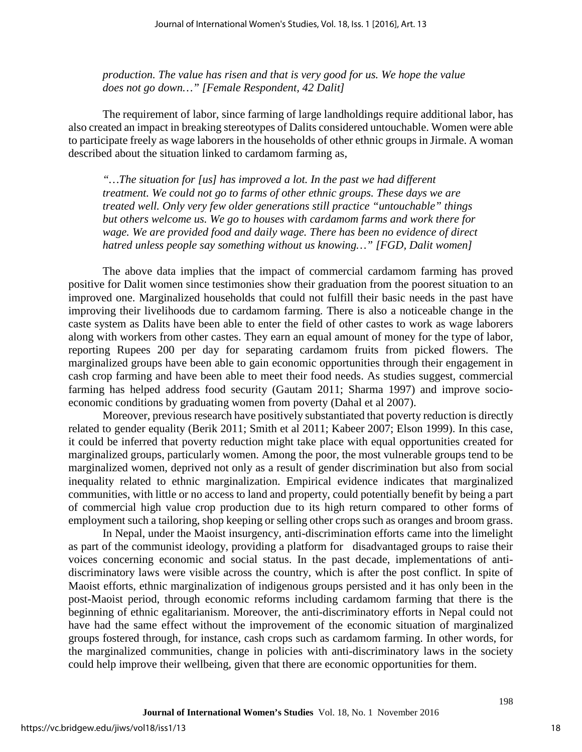*production. The value has risen and that is very good for us. We hope the value does not go down…" [Female Respondent, 42 Dalit]* 

The requirement of labor, since farming of large landholdings require additional labor, has also created an impact in breaking stereotypes of Dalits considered untouchable. Women were able to participate freely as wage laborers in the households of other ethnic groups in Jirmale. A woman described about the situation linked to cardamom farming as,

*"…The situation for [us] has improved a lot. In the past we had different treatment. We could not go to farms of other ethnic groups. These days we are treated well. Only very few older generations still practice "untouchable" things but others welcome us. We go to houses with cardamom farms and work there for*  wage. We are provided food and daily wage. There has been no evidence of direct *hatred unless people say something without us knowing…" [FGD, Dalit women]*

The above data implies that the impact of commercial cardamom farming has proved positive for Dalit women since testimonies show their graduation from the poorest situation to an improved one. Marginalized households that could not fulfill their basic needs in the past have improving their livelihoods due to cardamom farming. There is also a noticeable change in the caste system as Dalits have been able to enter the field of other castes to work as wage laborers along with workers from other castes. They earn an equal amount of money for the type of labor, reporting Rupees 200 per day for separating cardamom fruits from picked flowers. The marginalized groups have been able to gain economic opportunities through their engagement in cash crop farming and have been able to meet their food needs. As studies suggest, commercial farming has helped address food security (Gautam 2011; Sharma 1997) and improve socioeconomic conditions by graduating women from poverty (Dahal et al 2007).

Moreover, previous research have positively substantiated that poverty reduction is directly related to gender equality (Berik 2011; Smith et al 2011; Kabeer 2007; Elson 1999). In this case, it could be inferred that poverty reduction might take place with equal opportunities created for marginalized groups, particularly women. Among the poor, the most vulnerable groups tend to be marginalized women, deprived not only as a result of gender discrimination but also from social inequality related to ethnic marginalization. Empirical evidence indicates that marginalized communities, with little or no access to land and property, could potentially benefit by being a part of commercial high value crop production due to its high return compared to other forms of employment such a tailoring, shop keeping or selling other crops such as oranges and broom grass.

In Nepal, under the Maoist insurgency, anti-discrimination efforts came into the limelight as part of the communist ideology, providing a platform for disadvantaged groups to raise their voices concerning economic and social status. In the past decade, implementations of antidiscriminatory laws were visible across the country, which is after the post conflict. In spite of Maoist efforts, ethnic marginalization of indigenous groups persisted and it has only been in the post-Maoist period, through economic reforms including cardamom farming that there is the beginning of ethnic egalitarianism. Moreover, the anti-discriminatory efforts in Nepal could not have had the same effect without the improvement of the economic situation of marginalized groups fostered through, for instance, cash crops such as cardamom farming. In other words, for the marginalized communities, change in policies with anti-discriminatory laws in the society could help improve their wellbeing, given that there are economic opportunities for them.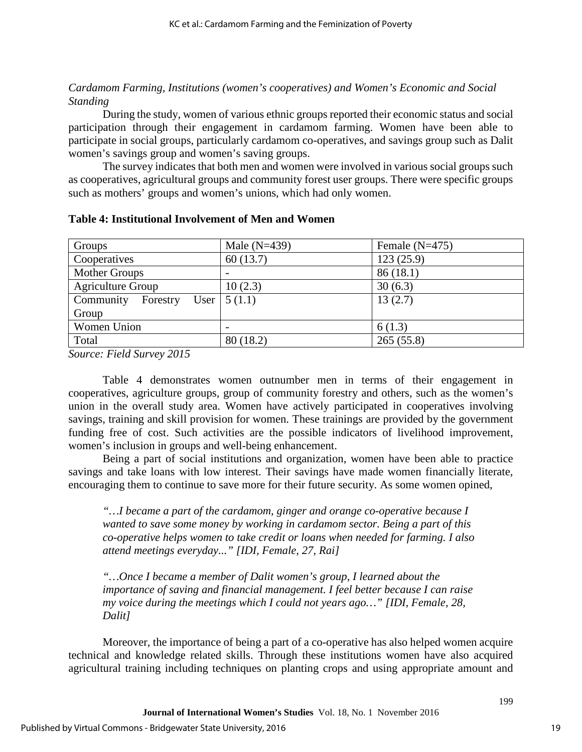## *Cardamom Farming, Institutions (women's cooperatives) and Women's Economic and Social Standing*

During the study, women of various ethnic groups reported their economic status and social participation through their engagement in cardamom farming. Women have been able to participate in social groups, particularly cardamom co-operatives, and savings group such as Dalit women's savings group and women's saving groups.

The survey indicates that both men and women were involved in various social groups such as cooperatives, agricultural groups and community forest user groups. There were specific groups such as mothers' groups and women's unions, which had only women.

| Groups                   | Male $(N=439)$            | Female $(N=475)$ |
|--------------------------|---------------------------|------------------|
| Cooperatives             | 60(13.7)                  | 123(25.9)        |
| Mother Groups            |                           | 86(18.1)         |
| <b>Agriculture Group</b> | 10(2.3)                   | 30(6.3)          |
| Community<br>Forestry    | User $\vert 5(1.1) \vert$ | 13(2.7)          |
| Group                    |                           |                  |
| Women Union              |                           | 6(1.3)           |
| Total                    | 80(18.2)                  | 265(55.8)        |

#### **Table 4: Institutional Involvement of Men and Women**

*Source: Field Survey 2015* 

Table 4 demonstrates women outnumber men in terms of their engagement in cooperatives, agriculture groups, group of community forestry and others, such as the women's union in the overall study area. Women have actively participated in cooperatives involving savings, training and skill provision for women. These trainings are provided by the government funding free of cost. Such activities are the possible indicators of livelihood improvement, women's inclusion in groups and well-being enhancement.

Being a part of social institutions and organization, women have been able to practice savings and take loans with low interest. Their savings have made women financially literate, encouraging them to continue to save more for their future security. As some women opined,

*"…I became a part of the cardamom, ginger and orange co-operative because I wanted to save some money by working in cardamom sector. Being a part of this co-operative helps women to take credit or loans when needed for farming. I also attend meetings everyday..." [IDI, Female, 27, Rai]* 

*"…Once I became a member of Dalit women's group, I learned about the importance of saving and financial management. I feel better because I can raise my voice during the meetings which I could not years ago…" [IDI, Female, 28, Dalit]* 

Moreover, the importance of being a part of a co-operative has also helped women acquire technical and knowledge related skills. Through these institutions women have also acquired agricultural training including techniques on planting crops and using appropriate amount and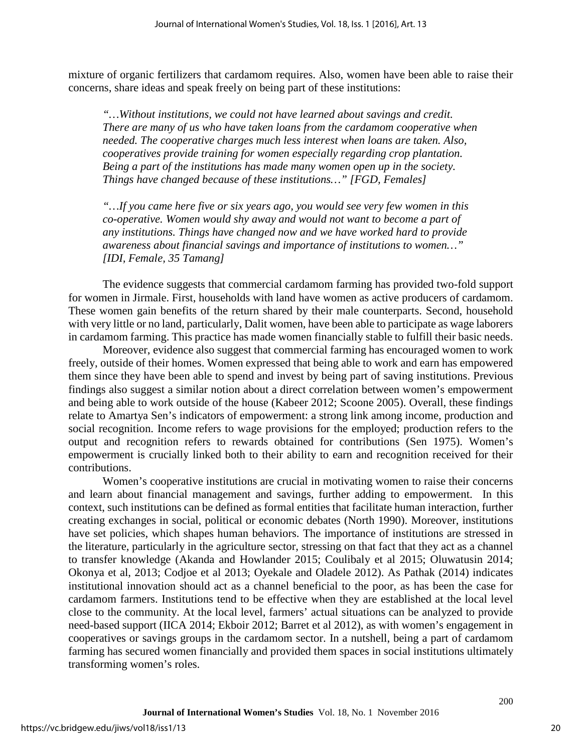mixture of organic fertilizers that cardamom requires. Also, women have been able to raise their concerns, share ideas and speak freely on being part of these institutions:

*"…Without institutions, we could not have learned about savings and credit. There are many of us who have taken loans from the cardamom cooperative when needed. The cooperative charges much less interest when loans are taken. Also, cooperatives provide training for women especially regarding crop plantation. Being a part of the institutions has made many women open up in the society. Things have changed because of these institutions…" [FGD, Females]* 

*"…If you came here five or six years ago, you would see very few women in this co-operative. Women would shy away and would not want to become a part of any institutions. Things have changed now and we have worked hard to provide awareness about financial savings and importance of institutions to women…" [IDI, Female, 35 Tamang]* 

The evidence suggests that commercial cardamom farming has provided two-fold support for women in Jirmale. First, households with land have women as active producers of cardamom. These women gain benefits of the return shared by their male counterparts. Second, household with very little or no land, particularly, Dalit women, have been able to participate as wage laborers in cardamom farming. This practice has made women financially stable to fulfill their basic needs.

Moreover, evidence also suggest that commercial farming has encouraged women to work freely, outside of their homes. Women expressed that being able to work and earn has empowered them since they have been able to spend and invest by being part of saving institutions. Previous findings also suggest a similar notion about a direct correlation between women's empowerment and being able to work outside of the house (Kabeer 2012; Scoone 2005). Overall, these findings relate to Amartya Sen's indicators of empowerment: a strong link among income, production and social recognition. Income refers to wage provisions for the employed; production refers to the output and recognition refers to rewards obtained for contributions (Sen 1975). Women's empowerment is crucially linked both to their ability to earn and recognition received for their contributions.

Women's cooperative institutions are crucial in motivating women to raise their concerns and learn about financial management and savings, further adding to empowerment. In this context, such institutions can be defined as formal entities that facilitate human interaction, further creating exchanges in social, political or economic debates (North 1990). Moreover, institutions have set policies, which shapes human behaviors. The importance of institutions are stressed in the literature, particularly in the agriculture sector, stressing on that fact that they act as a channel to transfer knowledge (Akanda and Howlander 2015; Coulibaly et al 2015; Oluwatusin 2014; Okonya et al, 2013; Codjoe et al 2013; Oyekale and Oladele 2012). As Pathak (2014) indicates institutional innovation should act as a channel beneficial to the poor, as has been the case for cardamom farmers. Institutions tend to be effective when they are established at the local level close to the community. At the local level, farmers' actual situations can be analyzed to provide need-based support (IICA 2014; Ekboir 2012; Barret et al 2012), as with women's engagement in cooperatives or savings groups in the cardamom sector. In a nutshell, being a part of cardamom farming has secured women financially and provided them spaces in social institutions ultimately transforming women's roles.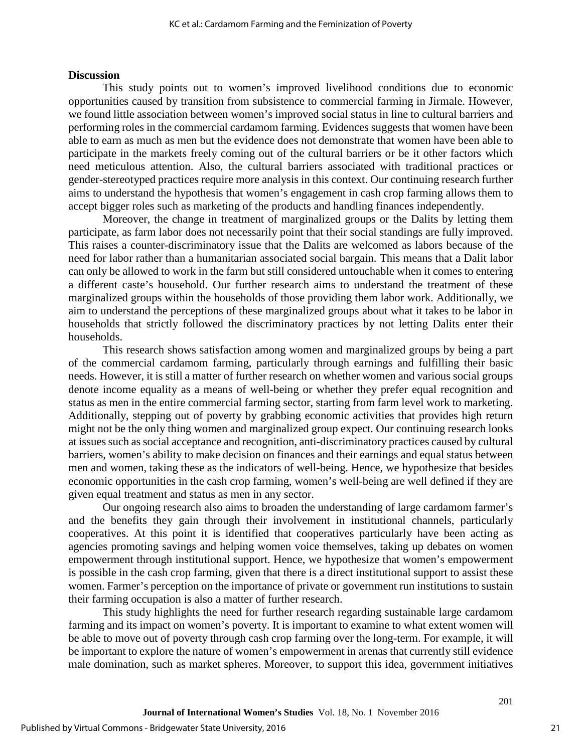## **Discussion**

This study points out to women's improved livelihood conditions due to economic opportunities caused by transition from subsistence to commercial farming in Jirmale. However, we found little association between women's improved social status in line to cultural barriers and performing roles in the commercial cardamom farming. Evidences suggests that women have been able to earn as much as men but the evidence does not demonstrate that women have been able to participate in the markets freely coming out of the cultural barriers or be it other factors which need meticulous attention. Also, the cultural barriers associated with traditional practices or gender-stereotyped practices require more analysis in this context. Our continuing research further aims to understand the hypothesis that women's engagement in cash crop farming allows them to accept bigger roles such as marketing of the products and handling finances independently.

Moreover, the change in treatment of marginalized groups or the Dalits by letting them participate, as farm labor does not necessarily point that their social standings are fully improved. This raises a counter-discriminatory issue that the Dalits are welcomed as labors because of the need for labor rather than a humanitarian associated social bargain. This means that a Dalit labor can only be allowed to work in the farm but still considered untouchable when it comes to entering a different caste's household. Our further research aims to understand the treatment of these marginalized groups within the households of those providing them labor work. Additionally, we aim to understand the perceptions of these marginalized groups about what it takes to be labor in households that strictly followed the discriminatory practices by not letting Dalits enter their households.

This research shows satisfaction among women and marginalized groups by being a part of the commercial cardamom farming, particularly through earnings and fulfilling their basic needs. However, it is still a matter of further research on whether women and various social groups denote income equality as a means of well-being or whether they prefer equal recognition and status as men in the entire commercial farming sector, starting from farm level work to marketing. Additionally, stepping out of poverty by grabbing economic activities that provides high return might not be the only thing women and marginalized group expect. Our continuing research looks at issues such as social acceptance and recognition, anti-discriminatory practices caused by cultural barriers, women's ability to make decision on finances and their earnings and equal status between men and women, taking these as the indicators of well-being. Hence, we hypothesize that besides economic opportunities in the cash crop farming, women's well-being are well defined if they are given equal treatment and status as men in any sector.

Our ongoing research also aims to broaden the understanding of large cardamom farmer's and the benefits they gain through their involvement in institutional channels, particularly cooperatives. At this point it is identified that cooperatives particularly have been acting as agencies promoting savings and helping women voice themselves, taking up debates on women empowerment through institutional support. Hence, we hypothesize that women's empowerment is possible in the cash crop farming, given that there is a direct institutional support to assist these women. Farmer's perception on the importance of private or government run institutions to sustain their farming occupation is also a matter of further research.

This study highlights the need for further research regarding sustainable large cardamom farming and its impact on women's poverty. It is important to examine to what extent women will be able to move out of poverty through cash crop farming over the long-term. For example, it will be important to explore the nature of women's empowerment in arenas that currently still evidence male domination, such as market spheres. Moreover, to support this idea, government initiatives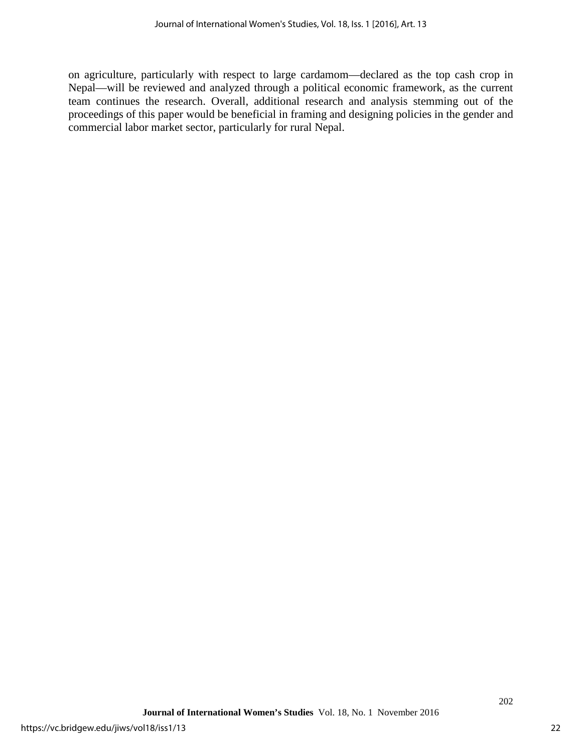on agriculture, particularly with respect to large cardamom—declared as the top cash crop in Nepal—will be reviewed and analyzed through a political economic framework, as the current team continues the research. Overall, additional research and analysis stemming out of the proceedings of this paper would be beneficial in framing and designing policies in the gender and commercial labor market sector, particularly for rural Nepal.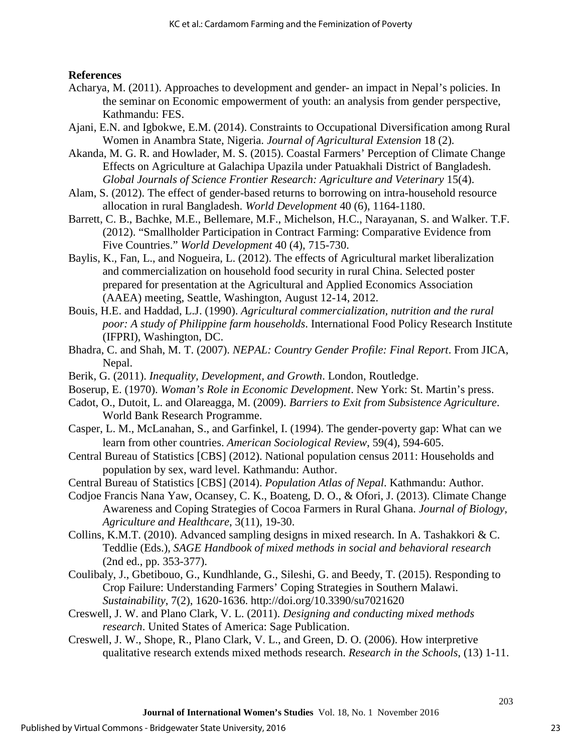## **References**

- Acharya, M. (2011). Approaches to development and gender- an impact in Nepal's policies. In the seminar on Economic empowerment of youth: an analysis from gender perspective, Kathmandu: FES.
- Ajani, E.N. and Igbokwe, E.M. (2014). Constraints to Occupational Diversification among Rural Women in Anambra State, Nigeria. *Journal of Agricultural Extension* 18 (2).
- Akanda, M. G. R. and Howlader, M. S. (2015). Coastal Farmers' Perception of Climate Change Effects on Agriculture at Galachipa Upazila under Patuakhali District of Bangladesh. *Global Journals of Science Frontier Research: Agriculture and Veterinary* 15(4).
- Alam, S. (2012). The effect of gender-based returns to borrowing on intra-household resource allocation in rural Bangladesh. *World Development* 40 (6), 1164-1180.
- Barrett, C. B., Bachke, M.E., Bellemare, M.F., Michelson, H.C., Narayanan, S. and Walker. T.F. (2012). "Smallholder Participation in Contract Farming: Comparative Evidence from Five Countries." *World Development* 40 (4), 715-730.
- Baylis, K., Fan, L., and Nogueira, L. (2012). The effects of Agricultural market liberalization and commercialization on household food security in rural China. Selected poster prepared for presentation at the Agricultural and Applied Economics Association (AAEA) meeting, Seattle, Washington, August 12-14, 2012.
- Bouis, H.E. and Haddad, L.J. (1990). *Agricultural commercialization, nutrition and the rural poor: A study of Philippine farm households*. International Food Policy Research Institute (IFPRI), Washington, DC.
- Bhadra, C. and Shah, M. T. (2007). *NEPAL: Country Gender Profile: Final Report*. From JICA, Nepal.
- Berik, G. (2011). *Inequality, Development, and Growth*. London, Routledge.
- Boserup, E. (1970). *Woman's Role in Economic Development*. New York: St. Martin's press.
- Cadot, O., Dutoit, L. and Olareagga, M. (2009). *Barriers to Exit from Subsistence Agriculture*. World Bank Research Programme.
- Casper, L. M., McLanahan, S., and Garfinkel, I. (1994). The gender-poverty gap: What can we learn from other countries. *American Sociological Review*, 59(4), 594-605.
- Central Bureau of Statistics [CBS] (2012). National population census 2011: Households and population by sex, ward level. Kathmandu: Author.
- Central Bureau of Statistics [CBS] (2014). *Population Atlas of Nepal*. Kathmandu: Author.
- Codjoe Francis Nana Yaw, Ocansey, C. K., Boateng, D. O., & Ofori, J. (2013). Climate Change Awareness and Coping Strategies of Cocoa Farmers in Rural Ghana. *Journal of Biology, Agriculture and Healthcare*, 3(11), 19-30.
- Collins, K.M.T. (2010). Advanced sampling designs in mixed research. In A. Tashakkori & C. Teddlie (Eds.), *SAGE Handbook of mixed methods in social and behavioral research* (2nd ed., pp. 353-377).
- Coulibaly, J., Gbetibouo, G., Kundhlande, G., Sileshi, G. and Beedy, T. (2015). Responding to Crop Failure: Understanding Farmers' Coping Strategies in Southern Malawi. *Sustainability*, 7(2), 1620-1636.<http://doi.org/10.3390/su7021620>
- Creswell, J. W. and Plano Clark, V. L. (2011). *Designing and conducting mixed methods research*. United States of America: Sage Publication.
- Creswell, J. W., Shope, R., Plano Clark, V. L., and Green, D. O. (2006). How interpretive qualitative research extends mixed methods research. *Research in the Schools*, (13) 1-11.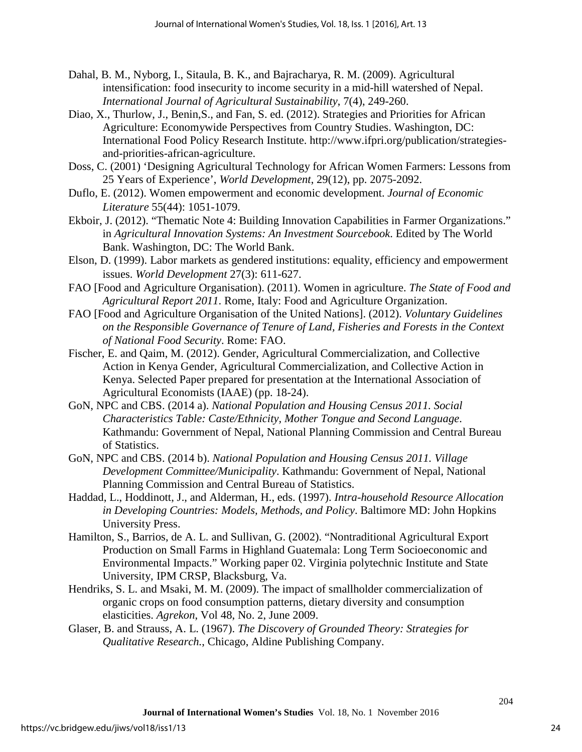- Dahal, B. M., Nyborg, I., Sitaula, B. K., and Bajracharya, R. M. (2009). Agricultural intensification: food insecurity to income security in a mid-hill watershed of Nepal. *International Journal of Agricultural Sustainability*, 7(4), 249-260.
- Diao, X., Thurlow, J., Benin,S., and Fan, S. ed. (2012). Strategies and Priorities for African Agriculture: Economywide Perspectives from Country Studies. Washington, DC: International Food Policy Research Institute. [http://www.ifpri.org/publication/strategies](http://www.ifpri.org/publication/strategies-and-priorities-african-agriculture)[and-priorities-african-agriculture.](http://www.ifpri.org/publication/strategies-and-priorities-african-agriculture)
- Doss, C. (2001) 'Designing Agricultural Technology for African Women Farmers: Lessons from 25 Years of Experience', *World Development*, 29(12), pp. 2075-2092.
- Duflo, E. (2012). Women empowerment and economic development. *Journal of Economic Literature* 55(44): 1051-1079.
- Ekboir, J. (2012). "Thematic Note 4: Building Innovation Capabilities in Farmer Organizations." in *Agricultural Innovation Systems: An Investment Sourcebook*. Edited by The World Bank. Washington, DC: The World Bank.
- Elson, D. (1999). Labor markets as gendered institutions: equality, efficiency and empowerment issues. *World Development* 27(3): 611-627.
- FAO [Food and Agriculture Organisation). (2011). Women in agriculture. *The State of Food and Agricultural Report 2011*. Rome, Italy: Food and Agriculture Organization.
- FAO [Food and Agriculture Organisation of the United Nations]. (2012). *Voluntary Guidelines on the Responsible Governance of Tenure of Land, Fisheries and Forests in the Context of National Food Security*. Rome: FAO.
- Fischer, E. and Qaim, M. (2012). Gender, Agricultural Commercialization, and Collective Action in Kenya Gender, Agricultural Commercialization, and Collective Action in Kenya. Selected Paper prepared for presentation at the International Association of Agricultural Economists (IAAE) (pp. 18-24).
- GoN, NPC and CBS. (2014 a). *National Population and Housing Census 2011. Social Characteristics Table: Caste/Ethnicity, Mother Tongue and Second Language*. Kathmandu: Government of Nepal, National Planning Commission and Central Bureau of Statistics.
- GoN, NPC and CBS. (2014 b). *National Population and Housing Census 2011. Village Development Committee/Municipality*. Kathmandu: Government of Nepal, National Planning Commission and Central Bureau of Statistics.
- Haddad, L., Hoddinott, J., and Alderman, H., eds. (1997). *Intra-household Resource Allocation in Developing Countries: Models, Methods, and Policy*. Baltimore MD: John Hopkins University Press.
- Hamilton, S., Barrios, de A. L. and Sullivan, G. (2002). "Nontraditional Agricultural Export Production on Small Farms in Highland Guatemala: Long Term Socioeconomic and Environmental Impacts." Working paper 02. Virginia polytechnic Institute and State University, IPM CRSP, Blacksburg, Va.
- Hendriks, S. L. and Msaki, M. M. (2009). The impact of smallholder commercialization of organic crops on food consumption patterns, dietary diversity and consumption elasticities. *Agrekon*, Vol 48, No. 2, June 2009.
- Glaser, B. and Strauss, A. L. (1967). *The Discovery of Grounded Theory: Strategies for Qualitative Research.*, Chicago, Aldine Publishing Company.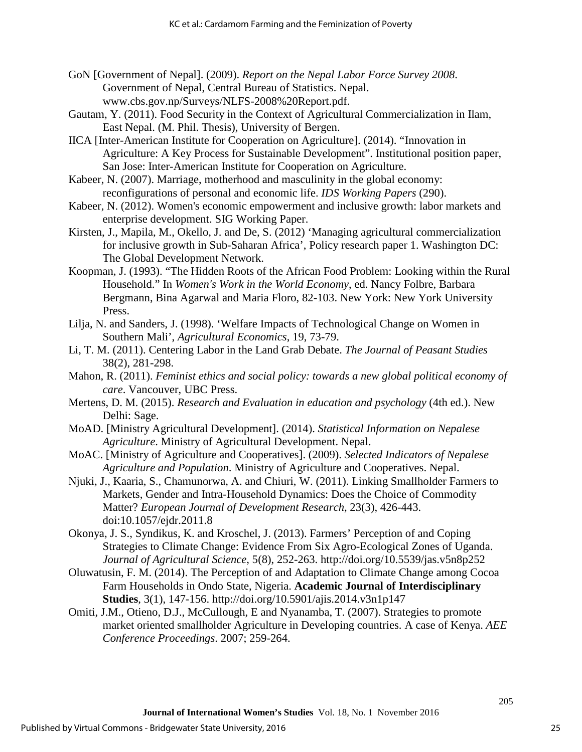- GoN [Government of Nepal]. (2009). *Report on the Nepal Labor Force Survey 2008*. Government of Nepal, Central Bureau of Statistics. Nepal. [www.cbs.gov.np/Surveys/NLFS-2008%20Report.pdf.](http://www.cbs.gov.np/Surveys/NLFS-2008%20Report.pdf)
- Gautam, Y. (2011). Food Security in the Context of Agricultural Commercialization in Ilam, East Nepal. (M. Phil. Thesis), University of Bergen.
- IICA [Inter-American Institute for Cooperation on Agriculture]. (2014). "Innovation in Agriculture: A Key Process for Sustainable Development". Institutional position paper, San Jose: Inter-American Institute for Cooperation on Agriculture.
- Kabeer, N. (2007). Marriage, motherhood and masculinity in the global economy: reconfigurations of personal and economic life. *IDS Working Papers* (290).
- Kabeer, N. (2012). Women's economic empowerment and inclusive growth: labor markets and enterprise development. SIG Working Paper.
- Kirsten, J., Mapila, M., Okello, J. and De, S. (2012) 'Managing agricultural commercialization for inclusive growth in Sub-Saharan Africa', Policy research paper 1. Washington DC: The Global Development Network.
- Koopman, J. (1993). "The Hidden Roots of the African Food Problem: Looking within the Rural Household." In *Women's Work in the World Economy*, ed. Nancy Folbre, Barbara Bergmann, Bina Agarwal and Maria Floro, 82-103. New York: New York University Press.
- Lilja, N. and Sanders, J. (1998). 'Welfare Impacts of Technological Change on Women in Southern Mali', *Agricultural Economics*, 19, 73-79.
- Li, T. M. (2011). Centering Labor in the Land Grab Debate. *The Journal of Peasant Studies* 38(2), 281-298.
- Mahon, R. (2011). *Feminist ethics and social policy: towards a new global political economy of care*. Vancouver, UBC Press.
- Mertens, D. M. (2015). *Research and Evaluation in education and psychology* (4th ed.). New Delhi: Sage.
- MoAD. [Ministry Agricultural Development]. (2014). *Statistical Information on Nepalese Agriculture*. Ministry of Agricultural Development. Nepal.
- MoAC. [Ministry of Agriculture and Cooperatives]. (2009). *Selected Indicators of Nepalese Agriculture and Population*. Ministry of Agriculture and Cooperatives. Nepal.
- Njuki, J., Kaaria, S., Chamunorwa, A. and Chiuri, W. (2011). Linking Smallholder Farmers to Markets, Gender and Intra-Household Dynamics: Does the Choice of Commodity Matter? *European Journal of Development Research*, 23(3), 426-443. doi:10.1057/ejdr.2011.8
- Okonya, J. S., Syndikus, K. and Kroschel, J. (2013). Farmers' Perception of and Coping Strategies to Climate Change: Evidence From Six Agro-Ecological Zones of Uganda. *Journal of Agricultural Science*, 5(8), 252-263. http://doi.org/10.5539/jas.v5n8p252
- Oluwatusin, F. M. (2014). The Perception of and Adaptation to Climate Change among Cocoa Farm Households in Ondo State, Nigeria. **Academic Journal of Interdisciplinary Studies**, 3(1), 147-156. http://doi.org/10.5901/ajis.2014.v3n1p147
- Omiti, J.M., Otieno, D.J., McCullough, E and Nyanamba, T. (2007). Strategies to promote market oriented smallholder Agriculture in Developing countries. A case of Kenya. *AEE Conference Proceedings*. 2007; 259-264.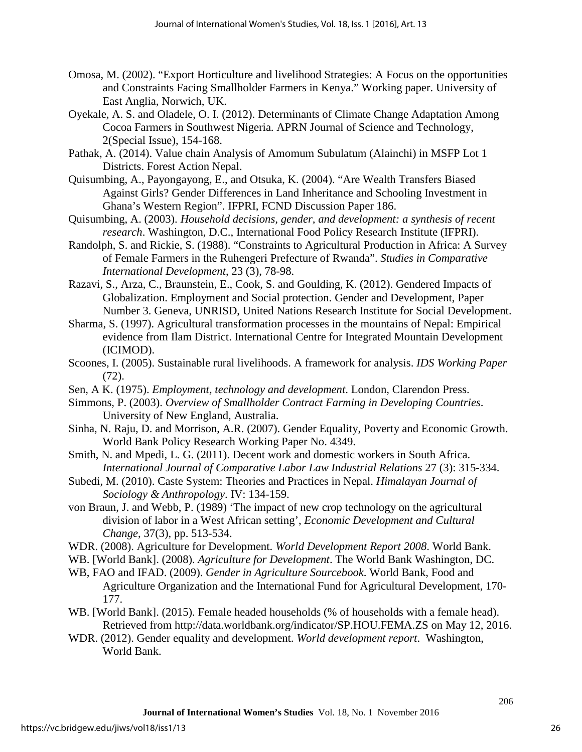- Omosa, M. (2002). "Export Horticulture and livelihood Strategies: A Focus on the opportunities and Constraints Facing Smallholder Farmers in Kenya." Working paper. University of East Anglia, Norwich, UK.
- Oyekale, A. S. and Oladele, O. I. (2012). Determinants of Climate Change Adaptation Among Cocoa Farmers in Southwest Nigeria. APRN Journal of Science and Technology, 2(Special Issue), 154-168.
- Pathak, A. (2014). Value chain Analysis of Amomum Subulatum (Alainchi) in MSFP Lot 1 Districts. Forest Action Nepal.
- Quisumbing, A., Payongayong, E., and Otsuka, K. (2004). "Are Wealth Transfers Biased Against Girls? Gender Differences in Land Inheritance and Schooling Investment in Ghana's Western Region". IFPRI, FCND Discussion Paper 186.
- Quisumbing, A. (2003). *Household decisions, gender, and development: a synthesis of recent research*. Washington, D.C., International Food Policy Research Institute (IFPRI).
- Randolph, S. and Rickie, S. (1988). "Constraints to Agricultural Production in Africa: A Survey of Female Farmers in the Ruhengeri Prefecture of Rwanda". *Studies in Comparative International Development*, 23 (3), 78-98.
- Razavi, S., Arza, C., Braunstein, E., Cook, S. and Goulding, K. (2012). Gendered Impacts of Globalization. Employment and Social protection. Gender and Development, Paper Number 3. Geneva, UNRISD, United Nations Research Institute for Social Development.
- Sharma, S. (1997). Agricultural transformation processes in the mountains of Nepal: Empirical evidence from Ilam District. International Centre for Integrated Mountain Development (ICIMOD).
- Scoones, I. (2005). Sustainable rural livelihoods. A framework for analysis. *IDS Working Paper* (72).
- Sen, A K. (1975). *Employment, technology and development*. London, Clarendon Press.
- Simmons, P. (2003). *Overview of Smallholder Contract Farming in Developing Countries*. University of New England, Australia.
- Sinha, N. Raju, D. and Morrison, A.R. (2007). Gender Equality, Poverty and Economic Growth. World Bank Policy Research Working Paper No. 4349.
- Smith, N. and Mpedi, L. G. (2011). Decent work and domestic workers in South Africa. *International Journal of Comparative Labor Law Industrial Relations* 27 (3): 315-334.
- Subedi, M. (2010). Caste System: Theories and Practices in Nepal. *Himalayan Journal of Sociology & Anthropology*. IV: 134-159.
- von Braun, J. and Webb, P. (1989) 'The impact of new crop technology on the agricultural division of labor in a West African setting', *Economic Development and Cultural Change*, 37(3), pp. 513-534.
- WDR. (2008). Agriculture for Development. *World Development Report 2008*. World Bank.
- WB. [World Bank]. (2008). *Agriculture for Development*. The World Bank Washington, DC.
- WB, FAO and IFAD. (2009). *Gender in Agriculture Sourcebook*. World Bank, Food and Agriculture Organization and the International Fund for Agricultural Development, 170- 177.
- WB. [World Bank]. (2015). Female headed households (% of households with a female head). Retrieved from<http://data.worldbank.org/indicator/SP.HOU.FEMA.ZS>on May 12, 2016.
- WDR. (2012). Gender equality and development. *World development report*. Washington, World Bank.